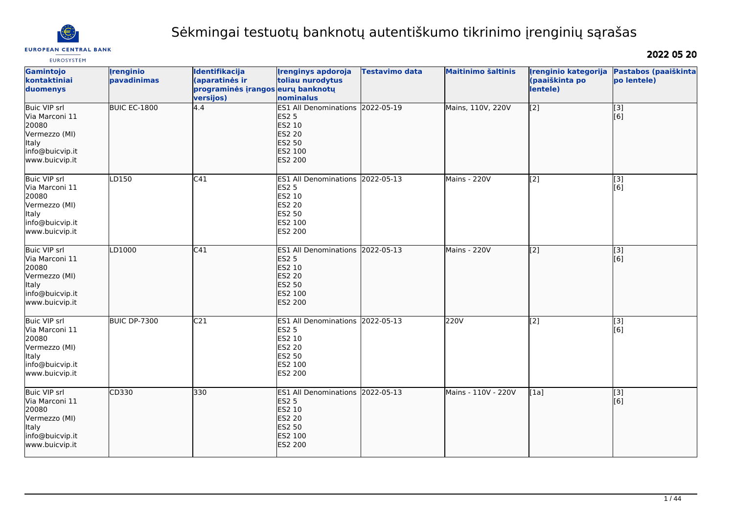

# Sėkmingai testuotų banknotų autentiškumo tikrinimo įrenginių sąrašas

**EUROSYSTEM** 

2022 05 20

| Gamintojo<br>kontaktiniai<br>duomenys                                                                                | <b>Irenginio</b><br>pavadinimas | Identifikacija<br>(aparatinės ir<br>programinės įrangos eurų banknotų<br>versijos) | <b>Irenginys apdoroja</b><br>toliau nurodytus<br>nominalus                                                                | <b>Testavimo data</b> | <b>Maitinimo šaltinis</b> | Irenginio kategorija<br>(paaiškinta po<br>lentele) | Pastabos (paaiškinta<br>po lentele) |
|----------------------------------------------------------------------------------------------------------------------|---------------------------------|------------------------------------------------------------------------------------|---------------------------------------------------------------------------------------------------------------------------|-----------------------|---------------------------|----------------------------------------------------|-------------------------------------|
| <b>Buic VIP srl</b><br>Via Marconi 11<br>20080<br>Vermezzo (MI)<br>ltaly<br>info@buicvip.it<br>www.buicvip.it        | BUIC EC-1800                    | 4.4                                                                                | ES1 All Denominations 2022-05-19<br><b>ES2 5</b><br>ES2 10<br><b>ES2 20</b><br><b>ES2 50</b><br>ES2 100<br><b>ES2 200</b> |                       | Mains, 110V, 220V         | $\overline{[2]}$                                   | [3]<br>[6]                          |
| Buic VIP srl<br>Via Marconi 11<br>20080<br>Vermezzo (MI)<br>ltaly<br>info@buicvip.it<br>www.buicvip.it               | LD150                           | C41                                                                                | ES1 All Denominations 2022-05-13<br><b>ES2 5</b><br>ES2 10<br><b>ES2 20</b><br>ES2 50<br>ES2 100<br>ES2 200               |                       | Mains - 220V              | $\left[$ [2]                                       | [3]<br>[6]                          |
| <b>Buic VIP srl</b><br>Via Marconi 11<br>20080<br>Vermezzo (MI)<br><b>Italy</b><br>info@buicvip.it<br>www.buicvip.it | LD1000                          | C41                                                                                | ES1 All Denominations 2022-05-13<br><b>ES2 5</b><br>ES2 10<br><b>ES2 20</b><br><b>ES2 50</b><br>ES2 100<br>ES2 200        |                       | Mains - 220V              | $\overline{[2]}$                                   | $\overline{[}3]$<br>[6]             |
| <b>Buic VIP</b> srl<br>Via Marconi 11<br>20080<br>Vermezzo (MI)<br>ltaly<br>info@buicvip.it<br>www.buicvip.it        | BUIC DP-7300                    | C <sub>21</sub>                                                                    | ES1 All Denominations 2022-05-13<br><b>ES2 5</b><br>ES2 10<br><b>ES2 20</b><br>ES2 50<br>ES2 100<br>ES2 200               |                       | 220V                      | [2]                                                | [3]<br>[6]                          |
| Buic VIP srl<br>Via Marconi 11<br>20080<br>Vermezzo (MI)<br><b>Italy</b><br>info@buicvip.it<br>www.buicvip.it        | CD330                           | 330                                                                                | ES1 All Denominations 2022-05-13<br><b>ES2 5</b><br>ES2 10<br><b>ES2 20</b><br><b>ES2 50</b><br>ES2 100<br><b>ES2 200</b> |                       | Mains - 110V - 220V       | [1a]                                               | [3]<br>[6]                          |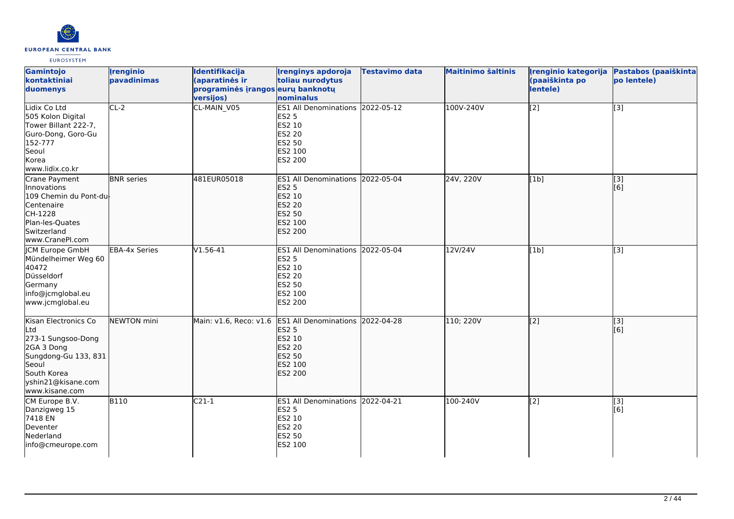

| Gamintojo<br>kontaktiniai<br>duomenys                                                                                                                   | <b>Irenginio</b><br>pavadinimas | Identifikacija<br>(aparatinės ir<br>programinės įrangos eurų banknotų<br>versijos) | <b>Irenginys apdoroja</b><br>toliau nurodytus<br>nominalus                                                         | <b>Testavimo data</b> | <b>Maitinimo šaltinis</b> | Irenginio kategorija<br>(paaiškinta po<br>lentele) | Pastabos (paaiškinta<br>po lentele) |
|---------------------------------------------------------------------------------------------------------------------------------------------------------|---------------------------------|------------------------------------------------------------------------------------|--------------------------------------------------------------------------------------------------------------------|-----------------------|---------------------------|----------------------------------------------------|-------------------------------------|
| Lidix Co Ltd<br>505 Kolon Digital<br>Tower Billant 222-7,<br>Guro-Dong, Goro-Gu<br>152-777<br>Seoul<br>Korea<br>www.lidix.co.kr                         | $CL-2$                          | CL-MAIN_V05                                                                        | ES1 All Denominations 2022-05-12<br><b>ES2 5</b><br>ES2 10<br>ES2 20<br>ES2 50<br>ES2 100<br>ES2 200               |                       | 100V-240V                 | [2]                                                | [3]                                 |
| Crane Payment<br>Innovations<br>109 Chemin du Pont-du<br>Centenaire<br>CH-1228<br>Plan-les-Quates<br><b>Switzerland</b><br>www.CranePI.com              | <b>BNR</b> series               | 481EUR05018                                                                        | ES1 All Denominations 2022-05-04<br><b>ES2 5</b><br>ES2 10<br><b>ES2 20</b><br><b>ES2 50</b><br>ES2 100<br>ES2 200 |                       | 24V, 220V                 | [1b]                                               | $\overline{[3]}$<br>[6]             |
| <b>ICM Europe GmbH</b><br>Mündelheimer Weg 60<br>40472<br>Düsseldorf<br>Germany<br>info@jcmglobal.eu<br>www.jcmglobal.eu                                | <b>EBA-4x Series</b>            | $V1.56-41$                                                                         | ES1 All Denominations 2022-05-04<br><b>ES2 5</b><br>ES2 10<br>ES2 20<br>ES2 50<br>ES2 100<br>ES2 200               |                       | 12V/24V                   | [1b]                                               | $\overline{[3]}$                    |
| Kisan Electronics Co<br>Ltd<br>273-1 Sungsoo-Dong<br>2GA 3 Dong<br>Sungdong-Gu 133, 831<br>Seoul<br>South Korea<br>yshin21@kisane.com<br>www.kisane.com | NEWTON mini                     | Main: v1.6, Reco: v1.6                                                             | ES1 All Denominations 2022-04-28<br><b>ES2 5</b><br>ES2 10<br><b>ES2 20</b><br><b>ES2 50</b><br>ES2 100<br>ES2 200 |                       | 110; 220V                 | $\overline{[2]}$                                   | $\overline{[3]}$<br>[6]             |
| CM Europe B.V.<br>Danzigweg 15<br>7418 EN<br>Deventer<br>Nederland<br>info@cmeurope.com                                                                 | <b>B110</b>                     | $C21-1$                                                                            | ES1 All Denominations 2022-04-21<br><b>ES2 5</b><br>ES2 10<br>ES2 20<br>ES2 50<br>ES2 100                          |                       | 100-240V                  | $\overline{[2]}$                                   | [3]<br>[6]                          |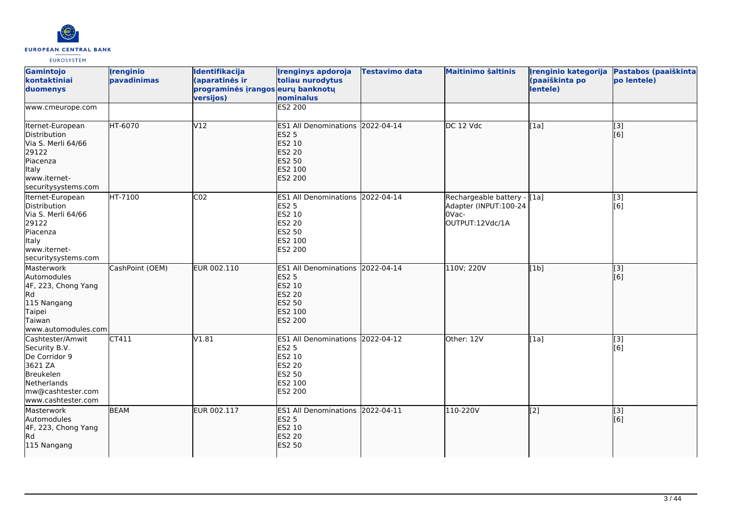

| Gamintojo<br>kontaktiniai<br>duomenys                                                                                                | <i><u><b><u>I</u>renginio</b></u></i><br>pavadinimas | <b>Identifikacija</b><br>(aparatinės ir<br>programinės įrangos eurų banknotų<br>versijos) | <b>Irenginys apdoroja</b><br>toliau nurodytus<br>nominalus                                                                | <b>Testavimo data</b> | <b>Maitinimo šaltinis</b>                                                         | Irenginio kategorija<br>(paaiškinta po<br>lentele) | Pastabos (paaiškinta<br>po lentele) |
|--------------------------------------------------------------------------------------------------------------------------------------|------------------------------------------------------|-------------------------------------------------------------------------------------------|---------------------------------------------------------------------------------------------------------------------------|-----------------------|-----------------------------------------------------------------------------------|----------------------------------------------------|-------------------------------------|
| www.cmeurope.com                                                                                                                     |                                                      |                                                                                           | <b>ES2 200</b>                                                                                                            |                       |                                                                                   |                                                    |                                     |
| Iternet-European<br>Distribution<br>Via S. Merli 64/66<br>29122<br>Piacenza<br>Italy<br>www.iternet-<br>securitysystems.com          | HT-6070                                              | V12                                                                                       | ES1 All Denominations 2022-04-14<br><b>ES2 5</b><br>ES2 10<br><b>ES2 20</b><br><b>ES2 50</b><br>ES2 100<br>ES2 200        |                       | DC 12 Vdc                                                                         | [1a]                                               | $\overline{[3]}$<br>[6]             |
| Iternet-European<br>Distribution<br>Via S. Merli 64/66<br>29122<br>Piacenza<br>Italy<br>www.iternet-<br>securitysystems.com          | HT-7100                                              | CO <sub>2</sub>                                                                           | ES1 All Denominations 2022-04-14<br><b>ES2 5</b><br>ES2 10<br><b>ES2 20</b><br><b>ES2 50</b><br>ES2 100<br>ES2 200        |                       | Rechargeable battery - [[1a]<br>Adapter (INPUT:100-24<br>OVac-<br>OUTPUT:12Vdc/1A |                                                    | $\overline{[3]}$<br>[6]             |
| Masterwork<br>Automodules<br>4F, 223, Chong Yang<br>Rd <br>115 Nangang<br>Taipei<br>Taiwan<br>lwww.automodules.com                   | CashPoint (OEM)                                      | EUR 002.110                                                                               | ES1 All Denominations 2022-04-14<br><b>ES2 5</b><br>ES2 10<br><b>ES2 20</b><br><b>ES2 50</b><br>ES2 100<br>ES2 200        |                       | 110V; 220V                                                                        | [1b]                                               | [3]<br>[[6]                         |
| Cashtester/Amwit<br>Security B.V.<br>De Corridor 9<br>3621 ZA<br>Breukelen<br>Netherlands<br>mw@cashtester.com<br>www.cashtester.com | CT411                                                | V1.81                                                                                     | ES1 All Denominations 2022-04-12<br><b>ES2 5</b><br>ES2 10<br><b>ES2 20</b><br><b>ES2 50</b><br>ES2 100<br><b>ES2 200</b> |                       | Other: 12V                                                                        | [1a]                                               | [3]<br>[6]                          |
| Masterwork<br>Automodules<br>4F, 223, Chong Yang<br>Rd<br>115 Nangang                                                                | <b>BEAM</b>                                          | EUR 002.117                                                                               | ES1 All Denominations 2022-04-11<br><b>ES2 5</b><br>ES2 10<br><b>ES2 20</b><br><b>ES2 50</b>                              |                       | 110-220V                                                                          | $\overline{[2]}$                                   | $\overline{[}3]$<br>[[6]            |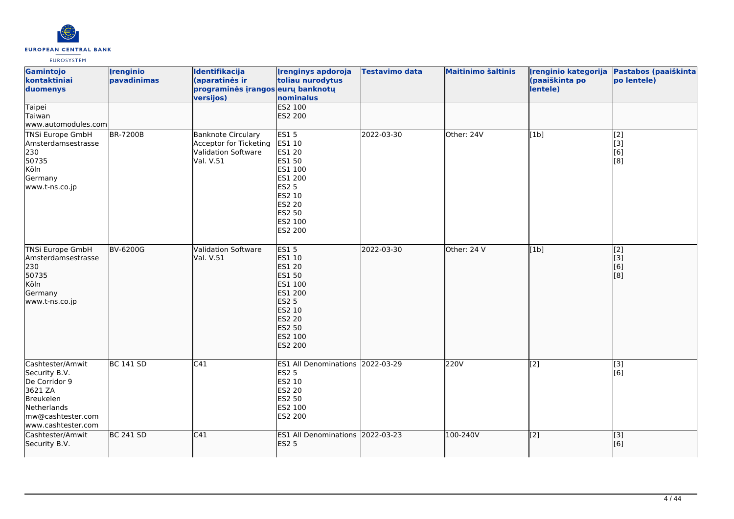

| Gamintojo<br>kontaktiniai<br>duomenys                                                                                                | <b>Irenginio</b><br>pavadinimas | Identifikacija<br>(aparatinės ir<br>programinės įrangos eurų banknotų<br>versijos)      | <b>Irenginys apdoroja</b><br>toliau nurodytus<br>nominalus                                                                                                             | Testavimo data | <b>Maitinimo šaltinis</b> | Irenginio kategorija<br>(paaiškinta po<br>lentele) | Pastabos (paaiškinta<br>po lentele)   |
|--------------------------------------------------------------------------------------------------------------------------------------|---------------------------------|-----------------------------------------------------------------------------------------|------------------------------------------------------------------------------------------------------------------------------------------------------------------------|----------------|---------------------------|----------------------------------------------------|---------------------------------------|
| Taipei<br>Taiwan<br>www.automodules.com                                                                                              |                                 |                                                                                         | <b>ES2 100</b><br>ES2 200                                                                                                                                              |                |                           |                                                    |                                       |
| TNSi Europe GmbH<br>Amsterdamsestrasse<br>230<br>50735<br>Köln<br>Germany<br>www.t-ns.co.jp                                          | <b>BR-7200B</b>                 | <b>Banknote Circulary</b><br>Acceptor for Ticketing<br>Validation Software<br>Val. V.51 | <b>ES15</b><br>ES1 10<br><b>ES1 20</b><br>ES1 50<br>ES1 100<br>ES1 200<br><b>ES2 5</b><br>ES2 10<br>ES2 20<br>ES2 50<br>ES2 100<br>ES2 200                             | 2022-03-30     | Other: 24V                | [1b]                                               | $\overline{[2]}$<br>[3]<br>[6]<br>[8] |
| <b>TNSi Europe GmbH</b><br>Amsterdamsestrasse<br>230<br>50735<br>Köln<br>Germany<br>www.t-ns.co.jp                                   | BV-6200G                        | Validation Software<br>Val. V.51                                                        | <b>ES15</b><br>ES1 10<br><b>ES1 20</b><br><b>ES1 50</b><br>ES1 100<br>ES1 200<br><b>ES2 5</b><br>ES2 10<br><b>ES2 20</b><br><b>ES2 50</b><br>ES2 100<br><b>ES2 200</b> | 2022-03-30     | Other: 24 V               | [1b]                                               | $\overline{[2]}$<br>[3]<br>[6]<br>[8] |
| Cashtester/Amwit<br>Security B.V.<br>De Corridor 9<br>3621 ZA<br>Breukelen<br>Netherlands<br>mw@cashtester.com<br>www.cashtester.com | <b>BC 141 SD</b>                | C41                                                                                     | ES1 All Denominations 2022-03-29<br><b>ES2 5</b><br>ES2 10<br>ES2 20<br>ES2 50<br>ES2 100<br>ES2 200                                                                   |                | 220V                      | $\overline{[2]}$                                   | $\overline{[3]}$<br>[6]               |
| Cashtester/Amwit<br>Security B.V.                                                                                                    | <b>BC 241 SD</b>                | C41                                                                                     | ES1 All Denominations 2022-03-23<br><b>ES2 5</b>                                                                                                                       |                | 100-240V                  | $\sqrt{2}$                                         | [3]<br>[6]                            |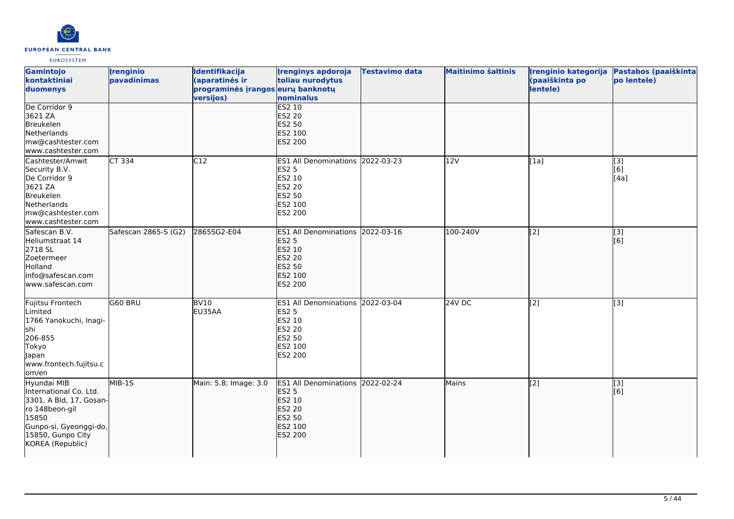

| Gamintojo<br>kontaktiniai<br>duomenys                                                                                                                          | <i><u><b><u>I</u>renginio</b></u></i><br>pavadinimas | Identifikacija<br>(aparatinės ir<br>programinės įrangos eurų banknotų<br>versijos) | <b>Irenginys apdoroja</b><br>toliau nurodytus<br>nominalus                                                         | Testavimo data | <b>Maitinimo šaltinis</b> | Irenginio kategorija<br>(paaiškinta po<br>lentele) | Pastabos (paaiškinta<br>po lentele) |
|----------------------------------------------------------------------------------------------------------------------------------------------------------------|------------------------------------------------------|------------------------------------------------------------------------------------|--------------------------------------------------------------------------------------------------------------------|----------------|---------------------------|----------------------------------------------------|-------------------------------------|
| De Corridor 9<br>3621 ZA<br>Breukelen<br>Netherlands<br>mw@cashtester.com<br>www.cashtester.com                                                                |                                                      |                                                                                    | <b>ES2 10</b><br><b>ES2 20</b><br><b>ES2 50</b><br>ES2 100<br>ES2 200                                              |                |                           |                                                    |                                     |
| Cashtester/Amwit<br>Security B.V.<br>De Corridor 9<br>3621 ZA<br>Breukelen<br>Netherlands<br>mw@cashtester.com<br>www.cashtester.com                           | CT 334                                               | C12                                                                                | ES1 All Denominations 2022-03-23<br>ES2 5<br>ES2 10<br>ES2 20<br>ES2 50<br>ES2 100<br>ES2 200                      |                | 12V                       | [1a]                                               | $\overline{[3]}$<br>[6]<br>[4a]     |
| Safescan B.V.<br>Heliumstraat 14<br>2718 SL<br>Zoetermeer<br>Holland<br>info@safescan.com<br>lwww.safescan.com                                                 | Safescan 2865-S (G2)                                 | 2865SG2-E04                                                                        | ES1 All Denominations 2022-03-16<br><b>ES2 5</b><br>ES2 10<br><b>ES2 20</b><br>ES2 50<br>ES2 100<br>ES2 200        |                | 100-240V                  | $\left[$ [2]                                       | [3]<br>[6]                          |
| Fujitsu Frontech<br>Limited<br>1766 Yanokuchi, Inagi-<br>shi<br>206-855<br>Tokyo<br>Japan<br>www.frontech.fujitsu.c<br>om/en                                   | G60 BRU                                              | <b>BV10</b><br>EU35AA                                                              | ES1 All Denominations 2022-03-04<br><b>ES2 5</b><br>ES2 10<br>ES2 20<br>ES2 50<br>ES2 100<br>ES2 200               |                | <b>24V DC</b>             | $\left[$ [2]                                       | [3]                                 |
| Hyundai MIB<br>International Co. Ltd.<br>3301, A Bld, 17, Gosan-<br>ro 148beon-gil<br>15850<br>Gunpo-si, Gyeonggi-do,<br>15850, Gunpo City<br>KOREA (Republic) | MIB-1S                                               | Main: 5.8; Image: 3.0                                                              | ES1 All Denominations 2022-02-24<br><b>ES2 5</b><br>ES2 10<br><b>ES2 20</b><br><b>ES2 50</b><br>ES2 100<br>ES2 200 |                | Mains                     | $\overline{[2]}$                                   | [3]<br>[[6]                         |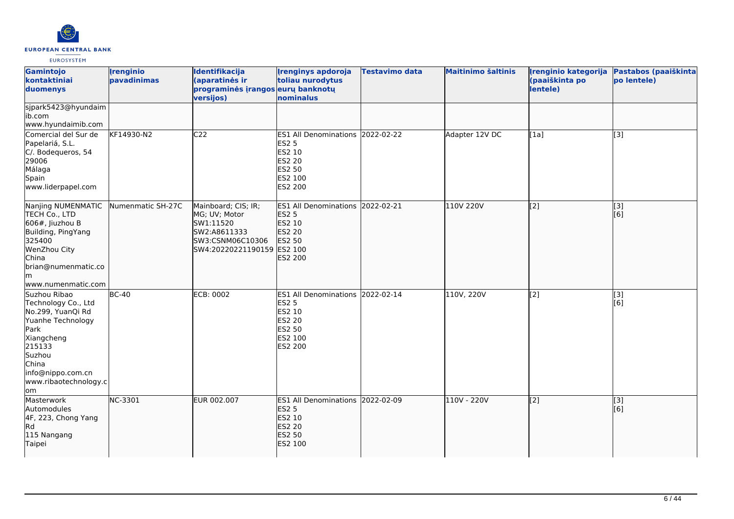

| Gamintojo<br>kontaktiniai<br>duomenys                                                                                                                                                 | <i><u><b><u>I</u>renginio</b></u></i><br>pavadinimas | Identifikacija<br>(aparatinės ir<br>programinės įrangos eurų banknotų<br>versijos)                                  | <b>Irenginys apdoroja</b><br>toliau nurodytus<br>nominalus                                                            | <b>Testavimo data</b> | <b>Maitinimo šaltinis</b> | Irenginio kategorija<br>(paaiškinta po<br>lentele) | Pastabos (paaiškinta<br>po lentele) |
|---------------------------------------------------------------------------------------------------------------------------------------------------------------------------------------|------------------------------------------------------|---------------------------------------------------------------------------------------------------------------------|-----------------------------------------------------------------------------------------------------------------------|-----------------------|---------------------------|----------------------------------------------------|-------------------------------------|
| sjpark5423@hyundaim<br>ib.com<br>www.hyundaimib.com                                                                                                                                   |                                                      |                                                                                                                     |                                                                                                                       |                       |                           |                                                    |                                     |
| Comercial del Sur de<br>Papelariá, S.L.<br>C/. Bodequeros, 54<br>29006<br>Málaga<br>Spain<br>www.liderpapel.com                                                                       | KF14930-N2                                           | C <sub>22</sub>                                                                                                     | ES1 All Denominations 2022-02-22<br><b>ES2 5</b><br>ES2 10<br><b>ES2 20</b><br><b>ES2 50</b><br>ES2 100<br>ES2 200    |                       | Adapter 12V DC            | [1a]                                               | $\overline{[3]}$                    |
| Nanjing NUMENMATIC<br>TECH Co., LTD<br>$606#$ , Jiuzhou B<br>Building, PingYang<br>325400<br>WenZhou City<br>China<br>brian@numenmatic.co<br>lm.<br>www.numenmatic.com                | Numenmatic SH-27C                                    | Mainboard; CIS; IR;<br>MG; UV; Motor<br>SW1:11520<br>SW2:A8611333<br>SW3:CSNM06C10306<br>SW4:20220221190159 ES2 100 | ES1 All Denominations 2022-02-21<br><b>ES2 5</b><br><b>ES2 10</b><br><b>ES2 20</b><br><b>ES2 50</b><br><b>ES2 200</b> |                       | 110V 220V                 | $\overline{[2]}$                                   | $\overline{[3]}$<br>[6]             |
| Suzhou Ribao<br>Technology Co., Ltd<br>No.299, YuanQi Rd<br>Yuanhe Technology<br>Park<br>Xiangcheng<br>215133<br>Suzhou<br>China<br>info@nippo.com.cn<br>www.ribaotechnology.c<br>lom | $BC-40$                                              | <b>ECB: 0002</b>                                                                                                    | ES1 All Denominations 2022-02-14<br><b>ES2 5</b><br>ES2 10<br><b>ES2 20</b><br>ES2 50<br>ES2 100<br><b>ES2 200</b>    |                       | 110V, 220V                | [2]                                                | [3]<br>[6]                          |
| Masterwork<br>Automodules<br>4F, 223, Chong Yang<br>Rd<br>115 Nangang<br>Taipei                                                                                                       | NC-3301                                              | EUR 002.007                                                                                                         | ES1 All Denominations 2022-02-09<br><b>ES2 5</b><br>ES2 10<br><b>ES2 20</b><br><b>ES2 50</b><br>ES2 100               |                       | 110V - 220V               | $\left[$ [2]                                       | $\overline{[}3]$<br>[6]             |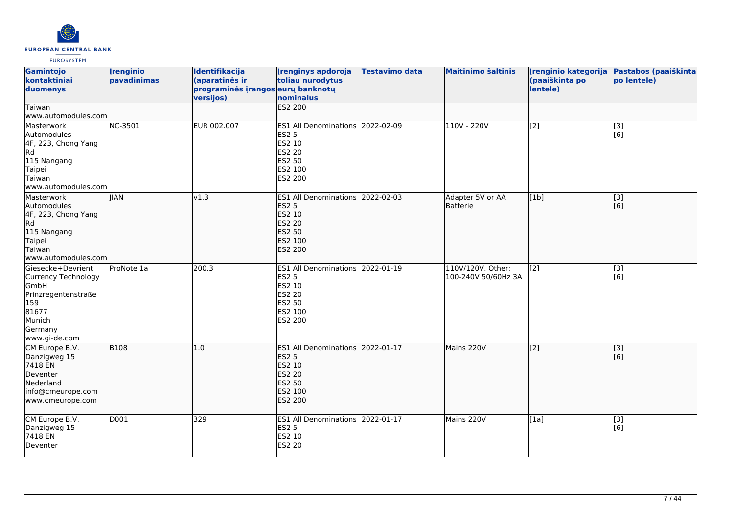

| Gamintojo<br>kontaktiniai<br>duomenys<br>Taiwan<br>www.automodules.com                                                               | <b>Irenginio</b><br>pavadinimas | Identifikacija<br>(aparatinės ir<br>programinės įrangos eurų banknotų<br>versijos) | <b>Irenginys apdoroja</b><br>toliau nurodytus<br>nominalus<br><b>ES2 200</b>                                       | <b>Testavimo data</b> | <b>Maitinimo šaltinis</b>                | Įrenginio kategorija<br>(paaiškinta po<br>lentele) | Pastabos (paaiškinta<br>po lentele) |
|--------------------------------------------------------------------------------------------------------------------------------------|---------------------------------|------------------------------------------------------------------------------------|--------------------------------------------------------------------------------------------------------------------|-----------------------|------------------------------------------|----------------------------------------------------|-------------------------------------|
| Masterwork<br>Automodules<br>4F, 223, Chong Yang<br>Rd<br>115 Nangang<br>Taipei<br>Taiwan<br>www.automodules.com                     | NC-3501                         | EUR 002.007                                                                        | ES1 All Denominations 2022-02-09<br><b>ES2 5</b><br>ES2 10<br>ES2 20<br>ES2 50<br>ES2 100<br>ES2 200               |                       | 110V - 220V                              | $\overline{[2]}$                                   | $\overline{[3]}$<br>[6]             |
| Masterwork<br>Automodules<br>4F, 223, Chong Yang<br>Rd.<br>115 Nangang<br>Taipei<br>Taiwan<br>www.automodules.com                    | <b>IIAN</b>                     | v1.3                                                                               | ES1 All Denominations 2022-02-03<br><b>ES2 5</b><br><b>ES2 10</b><br><b>ES2 20</b><br>ES2 50<br>ES2 100<br>ES2 200 |                       | Adapter 5V or AA<br>Batterie             | [1b]                                               | $\overline{[3]}$<br>[6]             |
| Giesecke+Devrient<br><b>Currency Technology</b><br>GmbH<br>Prinzregentenstraße<br>159<br>81677<br>Munich<br>Germany<br>www.gi-de.com | ProNote 1a                      | 200.3                                                                              | ES1 All Denominations 2022-01-19<br><b>ES2 5</b><br>ES2 10<br>ES2 20<br>ES2 50<br>ES2 100<br>ES2 200               |                       | 110V/120V, Other:<br>100-240V 50/60Hz 3A | [2]                                                | [3]<br>[6]                          |
| CM Europe B.V.<br>Danzigweg 15<br>7418 EN<br>Deventer<br>Nederland<br>info@cmeurope.com<br>www.cmeurope.com                          | <b>B108</b>                     | 1.0                                                                                | ES1 All Denominations 2022-01-17<br><b>ES2 5</b><br>ES2 10<br><b>ES2 20</b><br>ES2 50<br>ES2 100<br><b>ES2 200</b> |                       | Mains 220V                               | $\overline{[2]}$                                   | $\overline{[}$ [3]<br>[6]           |
| CM Europe B.V.<br>Danzigweg 15<br>7418 EN<br>Deventer                                                                                | D001                            | 329                                                                                | ES1 All Denominations 2022-01-17<br><b>ES2 5</b><br>ES2 10<br>ES2 20                                               |                       | Mains 220V                               | [1a]                                               | $[3]$<br>[6]                        |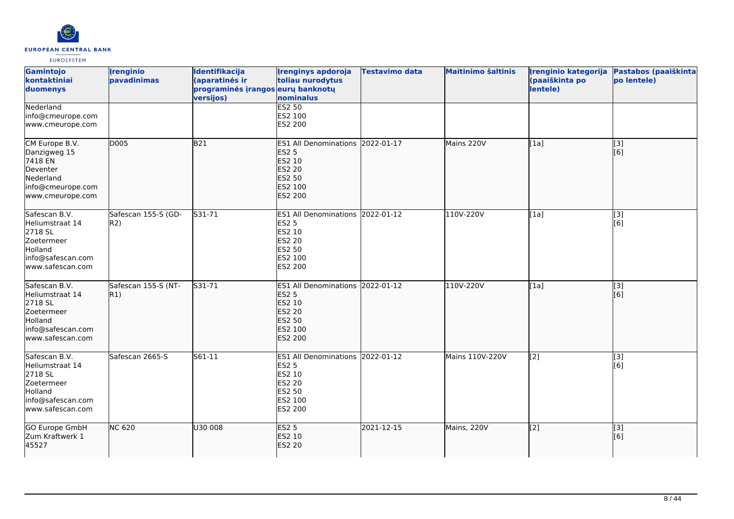

| <b>Gamintojo</b><br>kontaktiniai<br>duomenys                                                                  | <b>Irenginio</b><br>pavadinimas | Identifikacija<br>(aparatinės ir<br>programinės įrangos eurų banknotų<br>versijos) | <b>Irenginys apdoroja</b><br>toliau nurodytus<br>nominalus                                                            | <b>Testavimo data</b> | <b>Maitinimo šaltinis</b> | Irenginio kategorija<br>(paaiškinta po<br>lentele) | Pastabos (paaiškinta<br>po lentele) |
|---------------------------------------------------------------------------------------------------------------|---------------------------------|------------------------------------------------------------------------------------|-----------------------------------------------------------------------------------------------------------------------|-----------------------|---------------------------|----------------------------------------------------|-------------------------------------|
| Nederland<br>info@cmeurope.com<br>www.cmeurope.com                                                            |                                 |                                                                                    | <b>ES2 50</b><br>ES2 100<br>ES2 200                                                                                   |                       |                           |                                                    |                                     |
| CM Europe B.V.<br>Danzigweg 15<br>7418 EN<br>Deventer<br>Nederland<br>info@cmeurope.com<br>www.cmeurope.com   | <b>D005</b>                     | B21                                                                                | ES1 All Denominations 2022-01-17<br><b>ES2 5</b><br>ES2 10<br><b>ES2 20</b><br><b>ES2 50</b><br>ES2 100<br>ES2 200    |                       | Mains 220V                | [1a]                                               | [3]<br>[6]                          |
| Safescan B.V.<br>Heliumstraat 14<br>2718 SL<br>Zoetermeer<br>Holland<br>info@safescan.com<br>www.safescan.com | Safescan 155-S (GD-<br>R2)      | S31-71                                                                             | <b>ES1 All Denominations</b><br><b>ES2 5</b><br>ES2 10<br>ES2 20<br>ES2 50<br>ES2 100<br>ES2 200                      | 2022-01-12            | 110V-220V                 | [1a]                                               | [3]<br>[6]                          |
| Safescan B.V.<br>Heliumstraat 14<br>2718 SL<br>Zoetermeer<br>Holland<br>info@safescan.com<br>www.safescan.com | Safescan 155-S (NT-<br>R1)      | S31-71                                                                             | <b>ES1 All Denominations</b><br><b>ES2 5</b><br><b>ES2 10</b><br><b>ES2 20</b><br><b>ES2 50</b><br>ES2 100<br>ES2 200 | 2022-01-12            | 110V-220V                 | [1a]                                               | $\overline{[3]}$<br>[6]             |
| Safescan B.V.<br>Heliumstraat 14<br>2718 SL<br>Zoetermeer<br>Holland<br>info@safescan.com<br>www.safescan.com | Safescan 2665-S                 | S61-11                                                                             | ES1 All Denominations 2022-01-12<br><b>ES2 5</b><br>ES2 10<br>ES2 20<br>ES2 50<br>ES2 100<br>ES2 200                  |                       | Mains 110V-220V           | [2]                                                | [3]<br>[6]                          |
| GO Europe GmbH<br>Zum Kraftwerk 1<br>45527                                                                    | <b>NC 620</b>                   | U30 008                                                                            | <b>ES2 5</b><br>ES2 10<br><b>ES2 20</b>                                                                               | 2021-12-15            | Mains, 220V               | $\left[2\right]$                                   | [3]<br>[6]                          |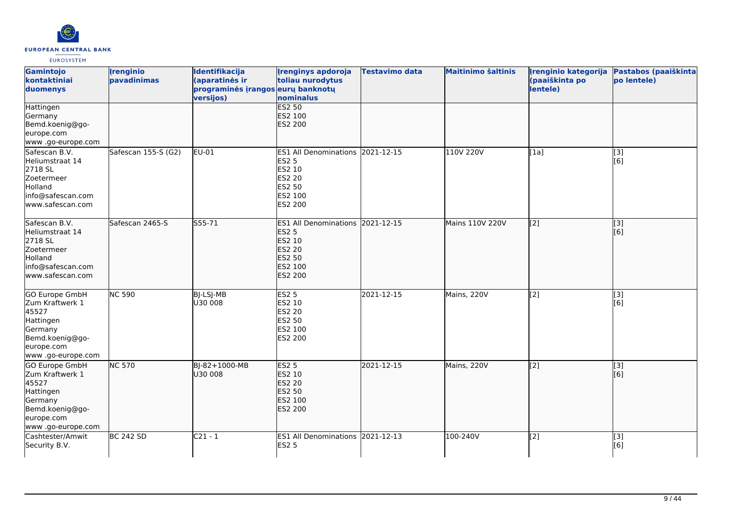

| Gamintojo<br>kontaktiniai<br>duomenys                                                                                           | <b>Irenginio</b><br>pavadinimas | Identifikacija<br>(aparatinės ir<br>programinės įrangos eurų banknotų<br>versijos) | <b>Irenginys apdoroja</b><br>toliau nurodytus<br>nominalus                                                     | <b>Testavimo data</b> | <b>Maitinimo šaltinis</b> | Irenginio kategorija<br>(paaiškinta po<br>lentele) | Pastabos (paaiškinta<br>po lentele) |
|---------------------------------------------------------------------------------------------------------------------------------|---------------------------------|------------------------------------------------------------------------------------|----------------------------------------------------------------------------------------------------------------|-----------------------|---------------------------|----------------------------------------------------|-------------------------------------|
| Hattingen<br>Germany<br>Bemd.koenig@go-<br>europe.com<br>www.go-europe.com                                                      |                                 |                                                                                    | <b>ES2 50</b><br>ES2 100<br>ES2 200                                                                            |                       |                           |                                                    |                                     |
| Safescan B.V.<br>Heliumstraat 14<br>2718 SL<br>Zoetermeer<br>Holland<br>info@safescan.com<br>www.safescan.com                   | Safescan 155-S (G2)             | EU-01                                                                              | <b>ES1 All Denominations</b><br><b>ES2 5</b><br>ES2 10<br>ES2 20<br>ES2 50<br>ES2 100<br>ES2 200               | 2021-12-15            | 110V 220V                 | [1a]                                               | [3]<br>[6]                          |
| Safescan B.V.<br>Heliumstraat 14<br>2718 SL<br>Zoetermeer<br>Holland<br>info@safescan.com<br>www.safescan.com                   | Safescan 2465-S                 | $555 - 71$                                                                         | <b>ES1 All Denominations</b><br><b>ES2 5</b><br>ES2 10<br><b>ES2 20</b><br><b>ES2 50</b><br>ES2 100<br>ES2 200 | 2021-12-15            | Mains 110V 220V           | $\overline{[2]}$                                   | $\overline{[3]}$<br>[6]             |
| <b>GO Europe GmbH</b><br>Zum Kraftwerk 1<br>45527<br>Hattingen<br>Germany<br>Bemd.koenig@go-<br>europe.com<br>www.go-europe.com | <b>NC 590</b>                   | <b>BJ-LSJ-MB</b><br>U30 008                                                        | <b>ES2 5</b><br>ES2 10<br>ES2 20<br>ES2 50<br>ES2 100<br>ES2 200                                               | 2021-12-15            | Mains, 220V               | $\overline{[2]}$                                   | $\overline{[3]}$<br>[6]             |
| GO Europe GmbH<br>Zum Kraftwerk 1<br>45527<br>Hattingen<br>Germany<br>Bemd.koenig@go-<br>europe.com<br>www .go-europe.com       | <b>NC 570</b>                   | BJ-82+1000-MB<br>U30 008                                                           | <b>ES2 5</b><br>ES2 10<br><b>ES2 20</b><br><b>ES2 50</b><br>ES2 100<br><b>ES2 200</b>                          | 2021-12-15            | Mains, 220V               | $\left[ \begin{matrix} 2 \end{matrix} \right]$     | [3]<br>[6]                          |
| Cashtester/Amwit<br>Security B.V.                                                                                               | <b>BC 242 SD</b>                | $C21 - 1$                                                                          | ES1 All Denominations 2021-12-13<br><b>ES2 5</b>                                                               |                       | 100-240V                  | $\overline{[2]}$                                   | $\overline{[3]}$<br>[6]             |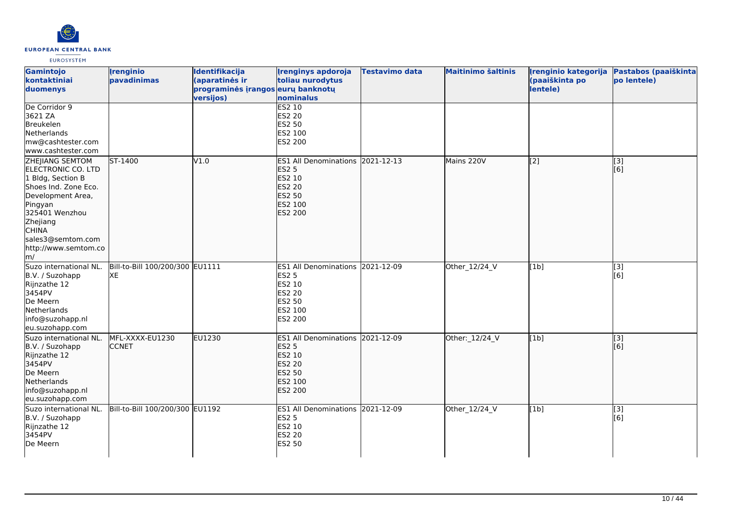

| Gamintojo<br>kontaktiniai<br>duomenys                                                                                                                                                                                      | <b>Irenginio</b><br>pavadinimas       | <b>Identifikacija</b><br>(aparatinės ir<br>programinės įrangos eurų banknotų<br>versijos) | <b>Irenginys apdoroja</b><br>toliau nurodytus<br>nominalus                                                                | <b>Testavimo data</b> | <b>Maitinimo šaltinis</b> | (paaiškinta po<br>lentele) | Irenginio kategorija Pastabos (paaiškinta<br>po lentele) |
|----------------------------------------------------------------------------------------------------------------------------------------------------------------------------------------------------------------------------|---------------------------------------|-------------------------------------------------------------------------------------------|---------------------------------------------------------------------------------------------------------------------------|-----------------------|---------------------------|----------------------------|----------------------------------------------------------|
| De Corridor 9<br>3621 ZA<br>Breukelen<br>Netherlands<br>mw@cashtester.com<br>www.cashtester.com                                                                                                                            |                                       |                                                                                           | ES2 10<br><b>ES2 20</b><br><b>ES2 50</b><br>ES2 100<br>ES2 200                                                            |                       |                           |                            |                                                          |
| <b>ZHEJIANG SEMTOM</b><br>ELECTRONIC CO. LTD<br>1 Bldg, Section B<br>Shoes Ind. Zone Eco.<br>Development Area,<br>Pingyan<br>325401 Wenzhou<br>Zhejiang<br><b>CHINA</b><br>sales3@semtom.com<br>http://www.semtom.co<br>m/ | $ST-1400$                             | V1.0                                                                                      | ES1 All Denominations 2021-12-13<br><b>ES2 5</b><br>ES2 10<br><b>ES2 20</b><br><b>ES2 50</b><br>ES2 100<br><b>ES2 200</b> |                       | Mains 220V                | $\overline{[2]}$           | $\overline{[}3]$<br>[[6]                                 |
| Suzo international NL.<br>B.V. / Suzohapp<br>Rijnzathe 12<br>3454PV<br>De Meern<br>Netherlands<br>info@suzohapp.nl<br>eu.suzohapp.com                                                                                      | Bill-to-Bill 100/200/300 EU1111<br>XE |                                                                                           | ES1 All Denominations 2021-12-09<br><b>ES2 5</b><br>ES2 10<br><b>ES2 20</b><br><b>ES2 50</b><br>ES2 100<br><b>ES2 200</b> |                       | Other_12/24_V             | [1b]                       | [3]<br>[6]                                               |
| Suzo international NL.<br>B.V. / Suzohapp<br>Rijnzathe 12<br>3454PV<br>De Meern<br>Netherlands<br>info@suzohapp.nl<br>eu.suzohapp.com                                                                                      | MFL-XXXX-EU1230<br><b>CCNET</b>       | <b>EU1230</b>                                                                             | ES1 All Denominations 2021-12-09<br><b>ES2 5</b><br>ES2 10<br><b>ES2 20</b><br><b>ES2 50</b><br>ES2 100<br><b>ES2 200</b> |                       | Other: 12/24_V            | [1b]                       | $\overline{[3]}$<br>[6]                                  |
| Suzo international NL.<br>B.V. / Suzohapp<br>Rijnzathe 12<br>3454PV<br>De Meern                                                                                                                                            | Bill-to-Bill 100/200/300 EU1192       |                                                                                           | ES1 All Denominations 2021-12-09<br><b>ES2 5</b><br>ES2 10<br><b>ES2 20</b><br><b>ES2 50</b>                              |                       | Other_12/24_V             | [1b]                       | $\overline{[}3]$<br>[6]                                  |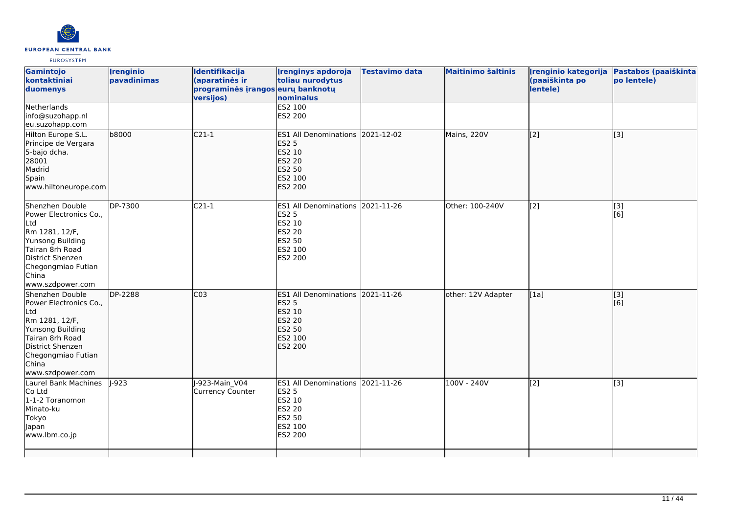

| Gamintojo<br>kontaktiniai<br>duomenys<br>Netherlands                                                                                                                             | <i><u><b><u>I</u>renginio</b></u></i><br>pavadinimas | <b>Identifikacija</b><br>(aparatinės ir<br>programinės įrangos eurų banknotų<br>versijos) | <b>Irenginys apdoroja</b><br>toliau nurodytus<br>nominalus<br><b>ES2 100</b>                                | <b>Testavimo data</b> | <b>Maitinimo šaltinis</b> | Irenginio kategorija<br>(paaiškinta po<br>lentele) | Pastabos (paaiškinta<br>po lentele) |
|----------------------------------------------------------------------------------------------------------------------------------------------------------------------------------|------------------------------------------------------|-------------------------------------------------------------------------------------------|-------------------------------------------------------------------------------------------------------------|-----------------------|---------------------------|----------------------------------------------------|-------------------------------------|
| info@suzohapp.nl<br>eu.suzohapp.com                                                                                                                                              |                                                      |                                                                                           | ES2 200                                                                                                     |                       |                           |                                                    |                                     |
| Hilton Europe S.L.<br>Principe de Vergara<br>5-bajo dcha.<br>28001<br>Madrid<br>Spain<br>www.hiltoneurope.com                                                                    | b8000                                                | $C21-1$                                                                                   | ES1 All Denominations 2021-12-02<br><b>ES2 5</b><br>ES2 10<br><b>ES2 20</b><br>ES2 50<br>ES2 100<br>ES2 200 |                       | Mains, 220V               | $\overline{[2]}$                                   | $\overline{[}3]$                    |
| Shenzhen Double<br>Power Electronics Co.,<br>Ltd<br>Rm 1281, 12/F,<br>Yunsong Building<br>Tairan 8rh Road<br>District Shenzen<br>Chegongmiao Futian<br>China<br>www.szdpower.com | DP-7300                                              | $C21-1$                                                                                   | ES1 All Denominations 2021-11-26<br><b>ES2 5</b><br>ES2 10<br>ES2 20<br>ES2 50<br>ES2 100<br>ES2 200        |                       | Other: 100-240V           | [2]                                                | [3]<br>[6]                          |
| Shenzhen Double<br>Power Electronics Co.,<br>Ltd<br>Rm 1281, 12/F,<br>Yunsong Building<br>Tairan 8rh Road<br>District Shenzen<br>Chegongmiao Futian<br>China<br>www.szdpower.com | <b>DP-2288</b>                                       | CO <sub>3</sub>                                                                           | ES1 All Denominations 2021-11-26<br><b>ES2 5</b><br>ES2 10<br><b>ES2 20</b><br>ES2 50<br>ES2 100<br>ES2 200 |                       | other: 12V Adapter        | [1a]                                               | $\overline{[3]}$<br>[6]             |
| Laurel Bank Machines<br>Co Ltd<br>1-1-2 Toranomon<br>Minato-ku<br>Tokyo<br>Japan<br>www.lbm.co.jp                                                                                | $I - 923$                                            | J-923-Main V04<br><b>Currency Counter</b>                                                 | ES1 All Denominations 2021-11-26<br><b>ES2 5</b><br>ES2 10<br>ES2 20<br>ES2 50<br>ES2 100<br>ES2 200        |                       | 100V - 240V               | [2]                                                | $\overline{[3]}$                    |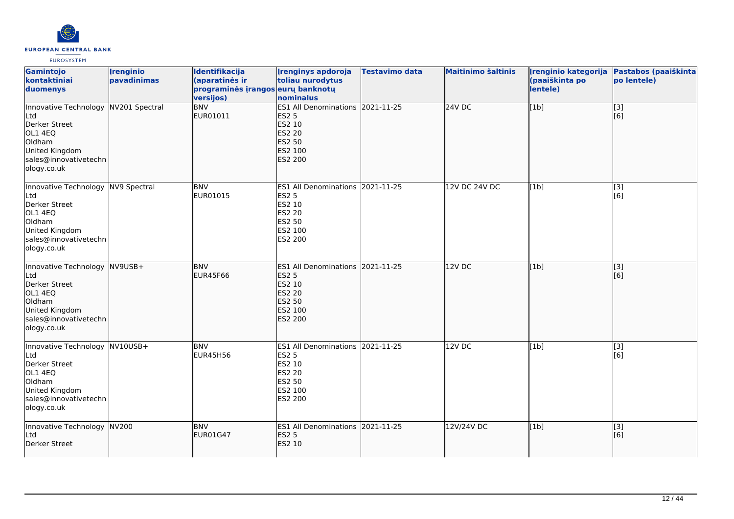

| Gamintojo<br>kontaktiniai<br>duomenys                                                                                                       | <b>Irenginio</b><br>pavadinimas | Identifikacija<br>(aparatinės ir<br>programinės įrangos eurų banknotų<br>versijos) | <b>Irenginys apdoroja</b><br>toliau nurodytus<br>nominalus                                                         | Testavimo data | <b>Maitinimo šaltinis</b> | Irenginio kategorija<br>(paaiškinta po<br>lentele) | Pastabos (paaiškinta<br>po lentele) |
|---------------------------------------------------------------------------------------------------------------------------------------------|---------------------------------|------------------------------------------------------------------------------------|--------------------------------------------------------------------------------------------------------------------|----------------|---------------------------|----------------------------------------------------|-------------------------------------|
| Innovative Technology NV201 Spectral<br>Ltd<br>Derker Street<br>OL1 4EQ<br>Oldham<br>United Kingdom<br>sales@innovativetechn<br>ology.co.uk |                                 | <b>BNV</b><br>EUR01011                                                             | ES1 All Denominations 2021-11-25<br><b>ES2 5</b><br>ES2 10<br><b>ES2 20</b><br><b>ES2 50</b><br>ES2 100<br>ES2 200 |                | 24VDC                     | [1b]                                               | $\overline{[}$ [3]<br>[6]           |
| Innovative Technology NV9 Spectral<br>Ltd<br>Derker Street<br>OL1 4EQ<br>Oldham<br>United Kingdom<br>sales@innovativetechn<br>ology.co.uk   |                                 | <b>BNV</b><br>EUR01015                                                             | ES1 All Denominations 2021-11-25<br><b>ES2 5</b><br>ES2 10<br>ES2 20<br>ES2 50<br>ES2 100<br>ES2 200               |                | <b>12V DC 24V DC</b>      | [1b]                                               | $\overline{[}3]$<br>[6]             |
| Innovative Technology<br>Ltd<br>Derker Street<br>OL1 4EQ<br>Oldham<br>United Kingdom<br>sales@innovativetechn<br>ology.co.uk                | $NV9USB+$                       | <b>BNV</b><br>EUR45F66                                                             | ES1 All Denominations 2021-11-25<br><b>ES2 5</b><br>ES2 10<br><b>ES2 20</b><br>ES2 50<br>ES2 100<br>ES2 200        |                | 12V DC                    | [1b]                                               | [3]<br>[[6]                         |
| Innovative Technology NV10USB+<br>Ltd<br>Derker Street<br>OL1 4EQ<br>Oldham<br>United Kingdom<br>sales@innovativetechn<br>ology.co.uk       |                                 | <b>BNV</b><br><b>EUR45H56</b>                                                      | ES1 All Denominations 2021-11-25<br>ES2 5<br>ES2 10<br>ES2 20<br>ES2 50<br>ES2 100<br>ES2 200                      |                | 12V DC                    | [1b]                                               | [3]<br>[6]                          |
| Innovative Technology<br>Ltd<br>Derker Street                                                                                               | NV200                           | <b>BNV</b><br>EUR01G47                                                             | ES1 All Denominations 2021-11-25<br><b>ES2 5</b><br><b>ES2 10</b>                                                  |                | 12V/24V DC                | [1b]                                               | $\overline{[3]}$<br>[6]             |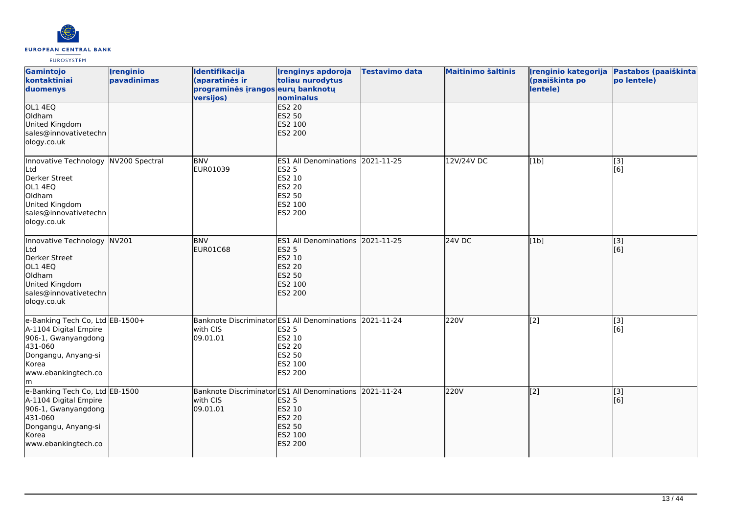

| Gamintojo<br>kontaktiniai<br>duomenys                                                                                                                    | <i><u><b><u>I</u>renginio</b></u></i><br>pavadinimas | Identifikacija<br>(aparatinės ir<br>programinės įrangos eurų banknotų<br>versijos) | <b>Irenginys apdoroja</b><br>toliau nurodytus<br>nominalus                                                                                | <b>Testavimo data</b> | <b>Maitinimo šaltinis</b> | Irenginio kategorija<br>(paaiškinta po<br>lentele) | Pastabos (paaiškinta<br>po lentele) |
|----------------------------------------------------------------------------------------------------------------------------------------------------------|------------------------------------------------------|------------------------------------------------------------------------------------|-------------------------------------------------------------------------------------------------------------------------------------------|-----------------------|---------------------------|----------------------------------------------------|-------------------------------------|
| OL1 4EQ<br>Oldham<br>United Kingdom<br>sales@innovativetechn<br>ology.co.uk                                                                              |                                                      |                                                                                    | <b>ES2 20</b><br><b>ES2 50</b><br>ES2 100<br>ES2 200                                                                                      |                       |                           |                                                    |                                     |
| Innovative Technology NV200 Spectral<br>Ltd<br>Derker Street<br>OL1 4EQ<br>Oldham<br>United Kingdom<br>sales@innovativetechn<br>ology.co.uk              |                                                      | <b>BNV</b><br>EUR01039                                                             | ES1 All Denominations 2021-11-25<br><b>ES2 5</b><br>ES2 10<br><b>ES2 20</b><br>ES2 50<br>ES2 100<br>ES2 200                               |                       | 12V/24V DC                | [1b]                                               | $\overline{[3]}$<br>[6]             |
| Innovative Technology NV201<br>Ltd<br>Derker Street<br>OL1 4EQ<br>Oldham<br>United Kingdom<br>sales@innovativetechn<br>ology.co.uk                       |                                                      | <b>BNV</b><br><b>EUR01C68</b>                                                      | ES1 All Denominations 2021-11-25<br><b>ES2 5</b><br>ES2 10<br><b>ES2 20</b><br><b>ES2 50</b><br>ES2 100<br>ES2 200                        |                       | <b>24V DC</b>             | [1b]                                               | [[3]<br>[6]                         |
| e-Banking Tech Co, Ltd EB-1500+<br>A-1104 Digital Empire<br>906-1, Gwanyangdong<br>431-060<br>Dongangu, Anyang-si<br>Korea<br>www.ebankingtech.co<br>lm. |                                                      | with CIS<br>09.01.01                                                               | Banknote Discriminator ES1 All Denominations 2021-11-24<br><b>ES2 5</b><br>ES2 10<br><b>ES2 20</b><br><b>ES2 50</b><br>ES2 100<br>ES2 200 |                       | 220V                      | $\sqrt{2}$                                         | [3]<br>[6]                          |
| e-Banking Tech Co, Ltd EB-1500<br>A-1104 Digital Empire<br>906-1, Gwanyangdong<br>431-060<br>Dongangu, Anyang-si<br>Korea<br>www.ebankingtech.co         |                                                      | Banknote Discriminator ES1 All Denominations<br>with CIS<br>09.01.01               | <b>ES2 5</b><br><b>ES2 10</b><br><b>ES2 20</b><br><b>ES2 50</b><br>ES2 100<br><b>ES2 200</b>                                              | 2021-11-24            | 220V                      | $\sqrt{2}$                                         | [3]<br>[[6]                         |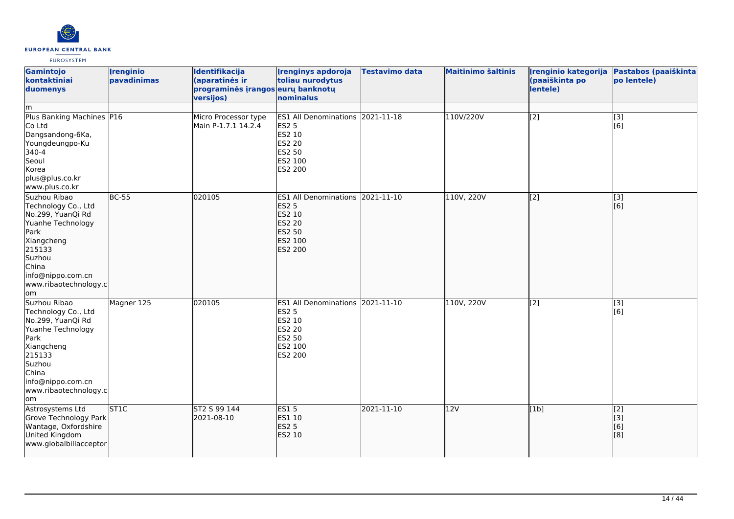

| Gamintojo<br>kontaktiniai<br>duomenys                                                                                                                                                 | <i><u><b><u>I</u>renginio</b></u></i><br>pavadinimas | Identifikacija<br>(aparatinės ir<br>programinės įrangos eurų banknotų<br>versijos) | <b>Irenginys apdoroja</b><br>toliau nurodytus<br>nominalus                                                                | <b>Testavimo data</b> | <b>Maitinimo šaltinis</b> | Irenginio kategorija<br>(paaiškinta po<br>lentele) | Pastabos (paaiškinta<br>po lentele) |
|---------------------------------------------------------------------------------------------------------------------------------------------------------------------------------------|------------------------------------------------------|------------------------------------------------------------------------------------|---------------------------------------------------------------------------------------------------------------------------|-----------------------|---------------------------|----------------------------------------------------|-------------------------------------|
| lm.<br>Plus Banking Machines P16<br>Co Ltd<br>Dangsandong-6Ka,<br>Youngdeungpo-Ku<br>340-4<br>Seoul<br>Korea<br>plus@plus.co.kr<br>www.plus.co.kr                                     |                                                      | Micro Processor type<br>Main P-1.7.1 14.2.4                                        | ES1 All Denominations 2021-11-18<br><b>ES2 5</b><br><b>ES2 10</b><br><b>ES2 20</b><br><b>ES2 50</b><br>ES2 100<br>ES2 200 |                       | 110V/220V                 | [2]                                                | $\overline{[3]}$<br>[6]             |
| Suzhou Ribao<br>Technology Co., Ltd<br>No.299, YuanQi Rd<br>Yuanhe Technology<br>Park<br>Xiangcheng<br>215133<br>Suzhou<br>China<br>info@nippo.com.cn<br>www.ribaotechnology.c<br>lom | $BC-55$                                              | 020105                                                                             | ES1 All Denominations 2021-11-10<br><b>ES2 5</b><br>ES2 10<br><b>ES2 20</b><br><b>ES2 50</b><br>ES2 100<br>ES2 200        |                       | 110V, 220V                | $\overline{[2]}$                                   | $\overline{[}3]$<br>[6]             |
| Suzhou Ribao<br>Technology Co., Ltd<br>No.299, YuanQi Rd<br>Yuanhe Technology<br>Park<br>Xiangcheng<br>215133<br>Suzhou<br>China<br>info@nippo.com.cn<br>www.ribaotechnology.c<br>lom | Magner 125                                           | 020105                                                                             | ES1 All Denominations 2021-11-10<br><b>ES2 5</b><br>ES2 10<br><b>ES2 20</b><br><b>ES2 50</b><br>ES2 100<br><b>ES2 200</b> |                       | 110V, 220V                | $\overline{[2]}$                                   | [3]<br>[6]                          |
| Astrosystems Ltd<br>Grove Technology Park<br>Wantage, Oxfordshire<br>United Kingdom<br>www.globalbillacceptor                                                                         | ST <sub>1C</sub>                                     | ST2 S 99 144<br>2021-08-10                                                         | <b>ES15</b><br>ES1 10<br><b>ES2 5</b><br>ES2 10                                                                           | 2021-11-10            | 12V                       | [1b]                                               | [2]<br>[3]<br>[6]<br>[8]            |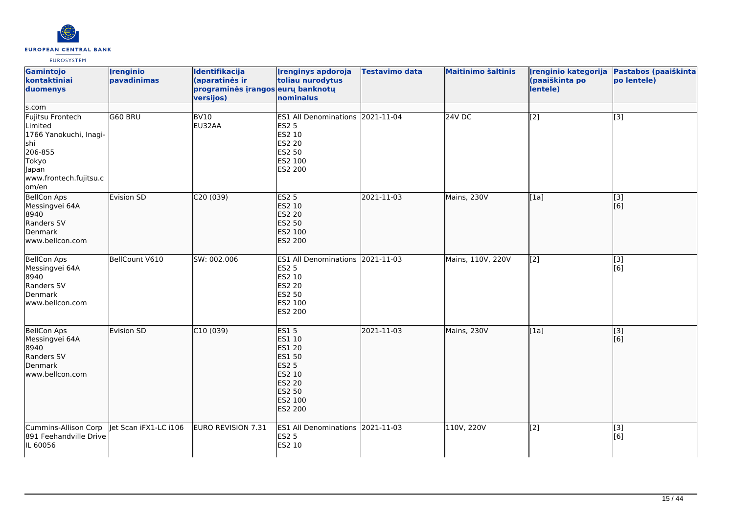

| Gamintojo<br>kontaktiniai<br>duomenys                                                                                        | <i><u><b><u>I</u>renginio</b></u></i><br>pavadinimas | Identifikacija<br>(aparatinės ir<br>programinės įrangos eurų banknotų<br>versijos) | <b>Irenginys apdoroja</b><br>toliau nurodytus<br>nominalus                                                                                                     | <b>Testavimo data</b> | <b>Maitinimo šaltinis</b> | Irenginio kategorija<br>(paaiškinta po<br>lentele) | Pastabos (paaiškinta<br>po lentele) |
|------------------------------------------------------------------------------------------------------------------------------|------------------------------------------------------|------------------------------------------------------------------------------------|----------------------------------------------------------------------------------------------------------------------------------------------------------------|-----------------------|---------------------------|----------------------------------------------------|-------------------------------------|
| s.com                                                                                                                        |                                                      |                                                                                    |                                                                                                                                                                |                       |                           |                                                    |                                     |
| Fujitsu Frontech<br>Limited<br>1766 Yanokuchi, Inagi-<br>shi<br>206-855<br>Tokyo<br>Japan<br>www.frontech.fujitsu.c<br>om/en | G60 BRU                                              | BV10<br>EU32AA                                                                     | ES1 All Denominations 2021-11-04<br><b>ES2 5</b><br><b>ES2 10</b><br><b>ES2 20</b><br><b>ES2 50</b><br>ES2 100<br>ES2 200                                      |                       | $24V$ DC                  | $\overline{[2]}$                                   | $\overline{[3]}$                    |
| <b>BellCon Aps</b><br>Messingvei 64A<br>8940<br>Randers SV<br>Denmark<br>www.bellcon.com                                     | Evision SD                                           | C20(039)                                                                           | <b>ES2 5</b><br><b>ES2 10</b><br><b>ES2 20</b><br><b>ES2 50</b><br>ES2 100<br><b>ES2 200</b>                                                                   | 2021-11-03            | Mains, 230V               | [1a]                                               | $\overline{[}3]$<br>[6]             |
| <b>BellCon Aps</b><br>Messingvei 64A<br>8940<br>Randers SV<br>Denmark<br>www.bellcon.com                                     | BellCount V610                                       | SW: 002.006                                                                        | ES1 All Denominations 2021-11-03<br><b>ES2 5</b><br>ES2 10<br><b>ES2 20</b><br><b>ES2 50</b><br>ES2 100<br><b>ES2 200</b>                                      |                       | Mains, 110V, 220V         | $\overline{[2]}$                                   | $\overline{[}3]$<br>[6]             |
| <b>BellCon Aps</b><br>Messingvei 64A<br>8940<br>Randers SV<br>Denmark<br>www.bellcon.com                                     | Evision SD                                           | C10(039)                                                                           | <b>ES15</b><br><b>ES1 10</b><br><b>ES1 20</b><br><b>ES1 50</b><br><b>ES2 5</b><br><b>ES2 10</b><br><b>ES2 20</b><br><b>ES2 50</b><br>ES2 100<br><b>ES2 200</b> | 2021-11-03            | Mains, 230V               | [1a]                                               | $\overline{[}$ [3]<br>[[6]          |
| Cummins-Allison Corp<br>891 Feehandville Drive<br>IL 60056                                                                   | et Scan iFX1-LC i106                                 | EURO REVISION 7.31                                                                 | ES1 All Denominations 2021-11-03<br><b>ES2 5</b><br><b>ES2 10</b>                                                                                              |                       | 110V, 220V                | [2]                                                | [3]<br>[6]                          |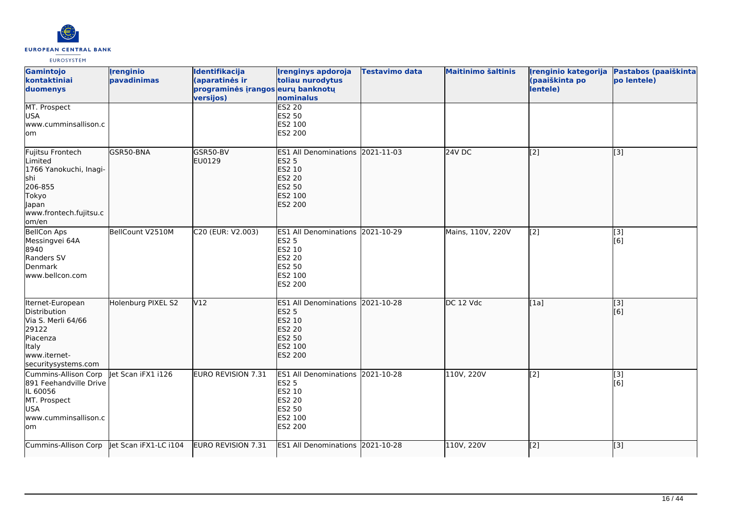

| Gamintojo<br>kontaktiniai<br>duomenys                                                                                        | <b>Irenginio</b><br>pavadinimas | Identifikacija<br>(aparatinės ir<br>programinės įrangos eurų banknotų<br>versijos) | <b>Irenginys apdoroja</b><br>toliau nurodytus<br>nominalus                                                         | <b>Testavimo data</b> | <b>Maitinimo šaltinis</b> | Irenginio kategorija<br>(paaiškinta po<br>lentele) | Pastabos (paaiškinta<br>po lentele) |
|------------------------------------------------------------------------------------------------------------------------------|---------------------------------|------------------------------------------------------------------------------------|--------------------------------------------------------------------------------------------------------------------|-----------------------|---------------------------|----------------------------------------------------|-------------------------------------|
| MT. Prospect<br><b>USA</b><br>www.cumminsallison.c<br>lom                                                                    |                                 |                                                                                    | <b>ES2 20</b><br>ES2 50<br>ES2 100<br>ES2 200                                                                      |                       |                           |                                                    |                                     |
| Fujitsu Frontech<br>Limited<br>1766 Yanokuchi, Inagi-<br>shi<br>206-855<br>Tokyo<br>Japan<br>www.frontech.fujitsu.c<br>om/en | GSR50-BNA                       | GSR50-BV<br>EU0129                                                                 | ES1 All Denominations 2021-11-03<br><b>ES2 5</b><br>ES2 10<br><b>ES2 20</b><br>ES2 50<br>ES2 100<br>ES2 200        |                       | 24V DC                    | $\left[$ [2]                                       | [3]                                 |
| <b>BellCon Aps</b><br>Messingvei 64A<br>8940<br>Randers SV<br>Denmark<br>www.bellcon.com                                     | BellCount V2510M                | C20 (EUR: V2.003)                                                                  | ES1 All Denominations 2021-10-29<br><b>ES2 5</b><br>ES2 10<br>ES2 20<br>ES2 50<br>ES2 100<br>ES2 200               |                       | Mains, 110V, 220V         | [2]                                                | $[3]$<br>[6]                        |
| Iternet-European<br>Distribution<br>Via S. Merli 64/66<br>29122<br>Piacenza<br>Italy<br>www.iternet-<br>securitysystems.com  | Holenburg PIXEL S2              | V12                                                                                | ES1 All Denominations 2021-10-28<br><b>ES2 5</b><br>ES2 10<br><b>ES2 20</b><br><b>ES2 50</b><br>ES2 100<br>ES2 200 |                       | DC 12 Vdc                 | [1a]                                               | [3]<br>[6]                          |
| Cummins-Allison Corp<br>891 Feehandville Drive<br>IL 60056<br>MT. Prospect<br><b>USA</b><br>www.cumminsallison.c<br>lom      | let Scan iFX1 i126              | EURO REVISION 7.31                                                                 | ES1 All Denominations 2021-10-28<br><b>ES2 5</b><br>ES2 10<br><b>ES2 20</b><br>ES2 50<br>ES2 100<br>ES2 200        |                       | 110V, 220V                | [2]                                                | [3]<br>[6]                          |
| Cummins-Allison Corp                                                                                                         | Jet Scan iFX1-LC i104           | EURO REVISION 7.31                                                                 | ES1 All Denominations 2021-10-28                                                                                   |                       | 110V, 220V                | $\vert$ [2]                                        | [3]                                 |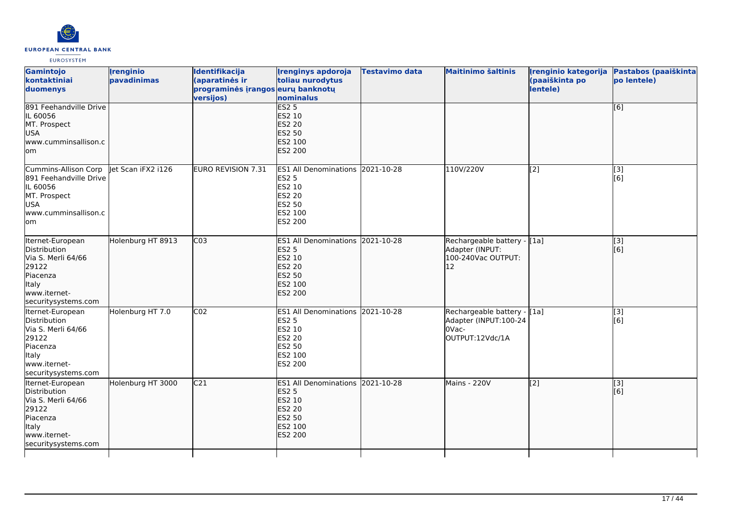

| Gamintojo<br>kontaktiniai<br>duomenys<br>891 Feehandville Drive<br>IL 60056<br>MT. Prospect<br>USA<br>lwww.cumminsallison.c<br>lom | <b>Irenginio</b><br>pavadinimas | Identifikacija<br>(aparatinės ir<br>programinės įrangos eurų banknotų<br>versijos) | <b>[renginys apdoroja</b><br>toliau nurodytus<br>nominalus<br>ES2 <sub>5</sub><br>ES2 10<br><b>ES2 20</b><br><b>ES2 50</b><br>ES2 100<br><b>ES2 200</b> | <b>Testavimo data</b> | <b>Maitinimo šaltinis</b>                                                        | Irenginio kategorija<br>(paaiškinta po<br>lentele) | Pastabos (paaiškinta<br>po lentele)<br>[6]            |
|------------------------------------------------------------------------------------------------------------------------------------|---------------------------------|------------------------------------------------------------------------------------|---------------------------------------------------------------------------------------------------------------------------------------------------------|-----------------------|----------------------------------------------------------------------------------|----------------------------------------------------|-------------------------------------------------------|
| Cummins-Allison Corp<br>891 Feehandville Drive<br>IL 60056<br>MT. Prospect<br>USA<br>www.cumminsallison.c<br>lom                   | let Scan iFX2 i126              | EURO REVISION 7.31                                                                 | ES1 All Denominations 2021-10-28<br><b>ES2 5</b><br>ES2 10<br><b>ES2 20</b><br><b>ES2 50</b><br>ES2 100<br>ES2 200                                      |                       | 110V/220V                                                                        | [2]                                                | [3]<br>[6]                                            |
| Iternet-European<br>Distribution<br>Via S. Merli 64/66<br>29122<br>Piacenza<br>ltaly<br>www.iternet-<br>securitysystems.com        | Holenburg HT 8913               | CO <sub>3</sub>                                                                    | ES1 All Denominations 2021-10-28<br><b>ES2 5</b><br>ES2 10<br><b>ES2 20</b><br><b>ES2 50</b><br>ES2 100<br>ES2 200                                      |                       | Rechargeable battery - [1a]<br>Adapter (INPUT:<br>100-240Vac OUTPUT:<br>12       |                                                    | [[3]<br>[[6]                                          |
| Iternet-European<br>Distribution<br>Via S. Merli 64/66<br>29122<br><b>Piacenza</b><br>Italy<br>www.iternet-<br>securitysystems.com | Holenburg HT 7.0                | CO <sub>2</sub>                                                                    | ES1 All Denominations 2021-10-28<br><b>ES2 5</b><br>ES2 10<br><b>ES2 20</b><br><b>ES2 50</b><br>ES2 100<br><b>ES2 200</b>                               |                       | Rechargeable battery - [1a]<br>Adapter (INPUT:100-24<br>OVac-<br>OUTPUT:12Vdc/1A |                                                    | $\overline{[}3]$<br>[6]                               |
| Iternet-European<br>Distribution<br>Via S. Merli 64/66<br>29122<br>Piacenza<br>ltaly<br>www.iternet-<br>securitysystems.com        | Holenburg HT 3000               | C <sub>21</sub>                                                                    | ES1 All Denominations 2021-10-28<br><b>ES2 5</b><br>ES2 10<br><b>ES2 20</b><br><b>ES2 50</b><br>ES2 100<br>ES2 200                                      |                       | Mains - 220V                                                                     | [[2]                                               | $\left[ \begin{matrix} 3 \end{matrix} \right]$<br>[6] |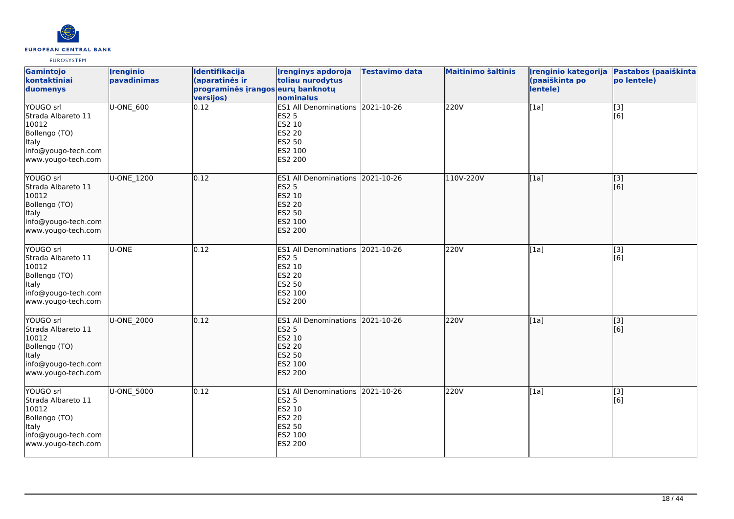

| Gamintojo<br>kontaktiniai<br>duomenys                                                                                  | <i><u><b><u>I</u>renginio</b></u></i><br>pavadinimas | Identifikacija<br>(aparatinės ir<br>programinės įrangos eurų banknotų<br>versijos) | <b>Irenginys apdoroja</b><br>toliau nurodytus<br>nominalus                                                                | <b>Testavimo data</b> | <b>Maitinimo šaltinis</b> | Irenginio kategorija<br>(paaiškinta po<br>lentele) | Pastabos (paaiškinta<br>po lentele) |
|------------------------------------------------------------------------------------------------------------------------|------------------------------------------------------|------------------------------------------------------------------------------------|---------------------------------------------------------------------------------------------------------------------------|-----------------------|---------------------------|----------------------------------------------------|-------------------------------------|
| YOUGO srl<br>Strada Albareto 11<br>10012<br>Bollengo (TO)<br>Italy<br>info@yougo-tech.com<br>www.yougo-tech.com        | U-ONE_600                                            | 0.12                                                                               | ES1 All Denominations 2021-10-26<br><b>ES2 5</b><br>ES2 10<br><b>ES2 20</b><br><b>ES2 50</b><br>ES2 100<br>ES2 200        |                       | 220V                      | [1a]                                               | [3]<br>[6]                          |
| YOUGO Srl<br>Strada Albareto 11<br>10012<br>Bollengo (TO)<br><b>Italy</b><br>info@yougo-tech.com<br>www.yougo-tech.com | U-ONE 1200                                           | 0.12                                                                               | ES1 All Denominations 2021-10-26<br><b>ES2 5</b><br>ES2 10<br><b>ES2 20</b><br><b>ES2 50</b><br>ES2 100<br><b>ES2 200</b> |                       | 110V-220V                 | [1a]                                               | [[3]<br>[[6]                        |
| YOUGO srl<br>Strada Albareto 11<br>10012<br>Bollengo (TO)<br>Italy<br>info@yougo-tech.com<br>www.yougo-tech.com        | U-ONE                                                | 0.12                                                                               | ES1 All Denominations 2021-10-26<br><b>ES2 5</b><br>ES2 10<br><b>ES2 20</b><br>ES2 50<br>ES2 100<br>ES2 200               |                       | 220V                      | [1a]                                               | $\overline{[3]}$<br>[6]             |
| YOUGO srl<br>Strada Albareto 11<br>10012<br>Bollengo (TO)<br>Italy<br>info@yougo-tech.com<br>www.yougo-tech.com        | U-ONE_2000                                           | 0.12                                                                               | ES1 All Denominations 2021-10-26<br><b>ES2 5</b><br><b>ES2 10</b><br><b>ES2 20</b><br><b>ES2 50</b><br>ES2 100<br>ES2 200 |                       | 220V                      | [1a]                                               | $\overline{[3]}$<br>[[6]            |
| YOUGO srl<br>Strada Albareto 11<br>10012<br>Bollengo (TO)<br><b>Italy</b><br>info@yougo-tech.com<br>www.yougo-tech.com | U-ONE 5000                                           | 0.12                                                                               | <b>ES1 All Denominations</b><br><b>ES2 5</b><br>ES2 10<br><b>ES2 20</b><br><b>ES2 50</b><br>ES2 100<br>ES2 200            | 2021-10-26            | 220V                      | [1a]                                               | [3]<br>[6]                          |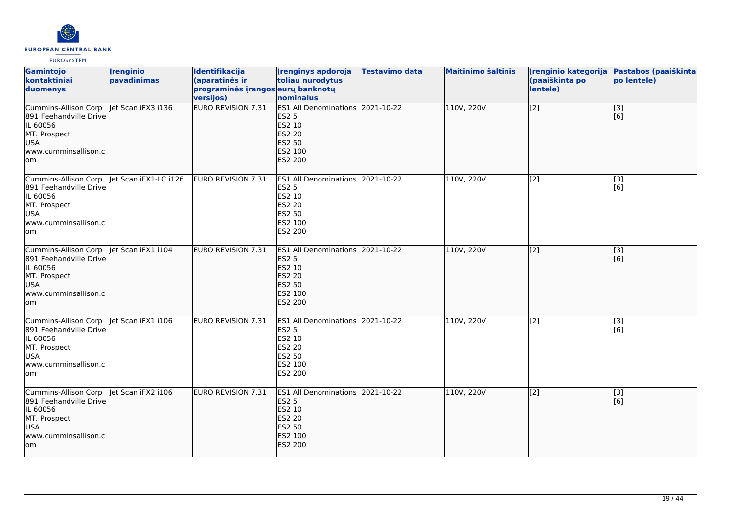

| <b>Gamintojo</b><br>kontaktiniai<br>duomenys                                                                            | <b>Irenginio</b><br>pavadinimas | Identifikacija<br>(aparatinės ir<br>programinės įrangos eurų banknotų<br>versijos) | <b>Irenginys apdoroja</b><br>toliau nurodytus<br>nominalus                                                                | Testavimo data | <b>Maitinimo šaltinis</b> | Irenginio kategorija<br>(paaiškinta po<br>lentele) | Pastabos (paaiškinta<br>po lentele) |
|-------------------------------------------------------------------------------------------------------------------------|---------------------------------|------------------------------------------------------------------------------------|---------------------------------------------------------------------------------------------------------------------------|----------------|---------------------------|----------------------------------------------------|-------------------------------------|
| Cummins-Allison Corp<br>891 Feehandville Drive<br>IL 60056<br>MT. Prospect<br><b>USA</b><br>www.cumminsallison.c<br>lom | let Scan iFX3 i136              | <b>EURO REVISION 7.31</b>                                                          | ES1 All Denominations 2021-10-22<br><b>ES2 5</b><br>ES2 10<br><b>ES2 20</b><br><b>ES2 50</b><br>ES2 100<br>ES2 200        |                | 110V, 220V                | [[2]                                               | [[3]<br>[6]                         |
| Cummins-Allison Corp<br>891 Feehandville Drive<br>IL 60056<br>MT. Prospect<br><b>USA</b><br>www.cumminsallison.c<br>lom | let Scan iFX1-LC i126           | EURO REVISION 7.31                                                                 | ES1 All Denominations 2021-10-22<br><b>ES2 5</b><br>ES2 10<br>ES2 20<br>ES2 50<br>ES2 100<br>ES2 200                      |                | 110V, 220V                | $\sqrt{2}$                                         | [3]<br>[6]                          |
| Cummins-Allison Corp<br>891 Feehandville Drive<br>IL 60056<br>MT. Prospect<br><b>USA</b><br>www.cumminsallison.c<br>lom | let Scan iFX1 i104              | EURO REVISION 7.31                                                                 | ES1 All Denominations 2021-10-22<br><b>ES2 5</b><br>ES2 10<br><b>ES2 20</b><br><b>ES2 50</b><br>ES2 100<br>ES2 200        |                | 110V, 220V                | $\left[$ [2]                                       | [[3]<br>[[6]                        |
| Cummins-Allison Corp<br>891 Feehandville Drive<br>IL 60056<br>MT. Prospect<br><b>USA</b><br>www.cumminsallison.c<br>lom | let Scan iFX1 i106              | EURO REVISION 7.31                                                                 | ES1 All Denominations 2021-10-22<br>ES2 5<br>ES2 10<br>ES2 20<br>ES2 50<br>ES2 100<br>ES2 200                             |                | 110V, 220V                | $\sqrt{2}$                                         | $\overline{[}3]$<br>[6]             |
| Cummins-Allison Corp<br>891 Feehandville Drive<br>IL 60056<br>MT. Prospect<br><b>USA</b><br>www.cumminsallison.c<br>lom | let Scan iFX2 i106              | <b>EURO REVISION 7.31</b>                                                          | <b>ES1 All Denominations 2021-10-22</b><br><b>ES2 5</b><br>ES2 10<br><b>ES2 20</b><br><b>ES2 50</b><br>ES2 100<br>ES2 200 |                | 110V, 220V                | $\sqrt{2}$                                         | [3]<br>[6]                          |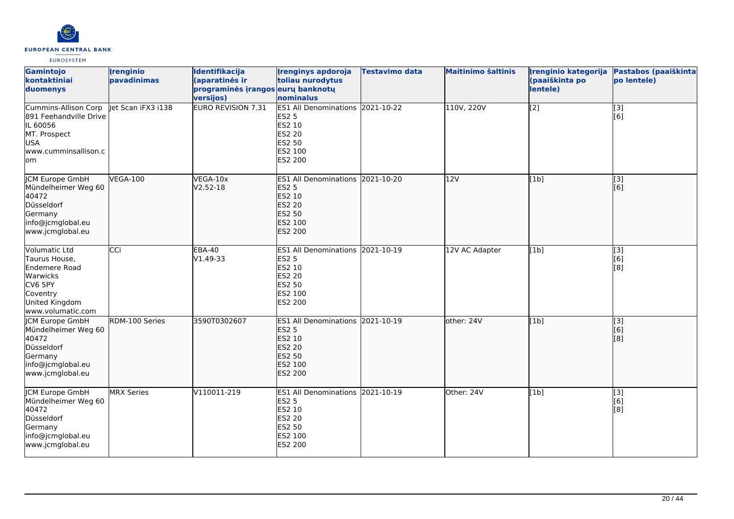

| Gamintojo<br>kontaktiniai<br>duomenys                                                                                     | <b>Irenginio</b><br>pavadinimas | <b>Identifikacija</b><br>(aparatinės ir<br>programinės įrangos eurų banknotų<br>versijos) | <b>Irenginys apdoroja</b><br>toliau nurodytus<br>nominalus                                                         | <b>Testavimo data</b> | <b>Maitinimo šaltinis</b> | Irenginio kategorija<br>(paaiškinta po<br>lentele) | Pastabos (paaiškinta<br>po lentele) |
|---------------------------------------------------------------------------------------------------------------------------|---------------------------------|-------------------------------------------------------------------------------------------|--------------------------------------------------------------------------------------------------------------------|-----------------------|---------------------------|----------------------------------------------------|-------------------------------------|
| Cummins-Allison Corp<br>891 Feehandville Drive<br>IL 60056<br>MT. Prospect<br>USA<br>www.cumminsallison.c<br>lom          | let Scan iFX3 i138              | <b>EURO REVISION 7.31</b>                                                                 | ES1 All Denominations 2021-10-22<br>ES2 5<br>ES2 10<br><b>ES2 20</b><br>ES2 50<br>ES2 100<br><b>ES2 200</b>        |                       | 110V, 220V                | $\sqrt{2}$                                         | $[3]$<br>[6]                        |
| <b>ICM Europe GmbH</b><br>Mündelheimer Weg 60<br>40472<br>Düsseldorf<br>Germany<br>info@jcmglobal.eu<br>www.jcmglobal.eu  | <b>VEGA-100</b>                 | VEGA-10x<br>$V2.52 - 18$                                                                  | ES1 All Denominations 2021-10-20<br><b>ES2 5</b><br>ES2 10<br><b>ES2 20</b><br><b>ES2 50</b><br>ES2 100<br>ES2 200 |                       | 12V                       | [1b]                                               | $\overline{[3]}$<br>[6]             |
| Volumatic Ltd<br>Taurus House,<br>Endemere Road<br>Warwicks<br>CV6 5PY<br>Coventry<br>United Kingdom<br>www.volumatic.com | CCi                             | <b>EBA-40</b><br>$V1.49-33$                                                               | ES1 All Denominations 2021-10-19<br><b>ES2 5</b><br>ES2 10<br>ES2 20<br>ES2 50<br>ES2 100<br>ES2 200               |                       | 12V AC Adapter            | [1b]                                               | [3]<br>[6]<br>[8]                   |
| JCM Europe GmbH<br>Mündelheimer Weg 60<br>40472<br>Düsseldorf<br>Germany<br>info@jcmglobal.eu<br>www.jcmglobal.eu         | RDM-100 Series                  | 3590T0302607                                                                              | ES1 All Denominations 2021-10-19<br><b>ES2 5</b><br>ES2 10<br><b>ES2 20</b><br>ES2 50<br>ES2 100<br>ES2 200        |                       | other: 24V                | [1b]                                               | $\overline{[}3]$<br>[6]<br>[8]      |
| JCM Europe GmbH<br>Mündelheimer Weg 60<br>40472<br>Düsseldorf<br>Germany<br>info@jcmglobal.eu<br>www.jcmglobal.eu         | <b>MRX</b> Series               | V110011-219                                                                               | ES1 All Denominations 2021-10-19<br><b>ES2 5</b><br>ES2 10<br>ES2 20<br>ES2 50<br>ES2 100<br>ES2 200               |                       | Other: 24V                | [1b]                                               | $\overline{[3]}$<br>[6]<br>[8]      |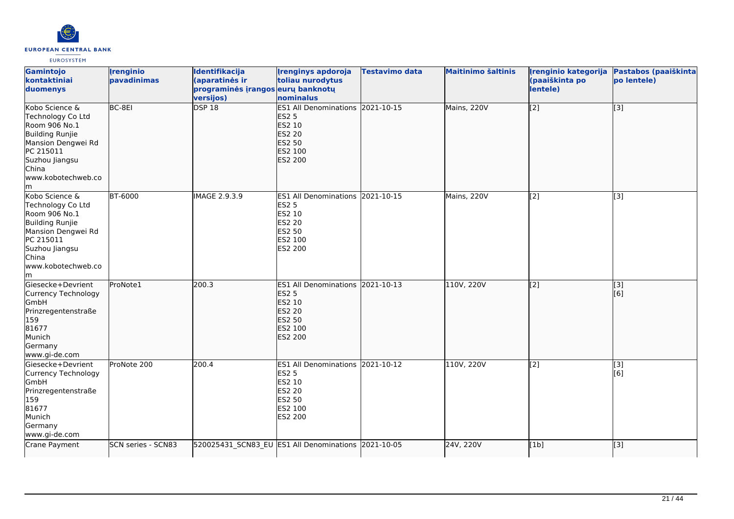

| Gamintojo<br>kontaktiniai<br>duomenys                                                                                                                                    | <b>Irenginio</b><br>pavadinimas | Identifikacija<br>(aparatinės ir<br>programinės įrangos eurų banknotų<br>versijos) | <b>Irenginys apdoroja</b><br>toliau nurodytus<br>nominalus                                                         | Testavimo data | <b>Maitinimo šaltinis</b> | Irenginio kategorija<br>(paaiškinta po<br>lentele) | Pastabos (paaiškinta<br>po lentele) |
|--------------------------------------------------------------------------------------------------------------------------------------------------------------------------|---------------------------------|------------------------------------------------------------------------------------|--------------------------------------------------------------------------------------------------------------------|----------------|---------------------------|----------------------------------------------------|-------------------------------------|
| Kobo Science &<br>Technology Co Ltd<br>Room 906 No.1<br><b>Building Runjie</b><br>Mansion Dengwei Rd<br>PC 215011<br>Suzhou Jiangsu<br>China<br>www.kobotechweb.co<br>lm | BC-8EI                          | <b>DSP 18</b>                                                                      | ES1 All Denominations 2021-10-15<br><b>ES2 5</b><br>ES2 10<br><b>ES2 20</b><br>ES2 50<br>ES2 100<br>ES2 200        |                | Mains, 220V               | $\sqrt{2}$                                         | [3]                                 |
| Kobo Science &<br>Technology Co Ltd<br>Room 906 No.1<br><b>Building Runjie</b><br>Mansion Dengwei Rd<br>PC 215011<br>Suzhou Jiangsu<br>China<br>www.kobotechweb.co<br>lm | <b>BT-6000</b>                  | IMAGE 2.9.3.9                                                                      | ES1 All Denominations 2021-10-15<br><b>ES2 5</b><br>ES2 10<br><b>ES2 20</b><br>ES2 50<br>ES2 100<br>ES2 200        |                | Mains, 220V               | [2]                                                | [3]                                 |
| Giesecke+Devrient<br>Currency Technology<br><b>GmbH</b><br>Prinzregentenstraße<br>159<br>81677<br>Munich<br>Germany<br>www.gi-de.com                                     | ProNote1                        | 200.3                                                                              | ES1 All Denominations 2021-10-13<br><b>ES2 5</b><br>ES2 10<br><b>ES2 20</b><br><b>ES2 50</b><br>ES2 100<br>ES2 200 |                | 110V, 220V                | $\left[2\right]$                                   | $\overline{[}3]$<br>[6]             |
| Giesecke+Devrient<br>Currency Technology<br>GmbH<br>Prinzregentenstraße<br>159<br>81677<br>Munich<br>Germany<br>www.gi-de.com                                            | ProNote 200                     | 200.4                                                                              | ES1 All Denominations 2021-10-12<br><b>ES2 5</b><br>ES2 10<br>ES2 20<br>ES2 50<br>ES2 100<br>ES2 200               |                | 110V, 220V                | $\overline{[2]}$                                   | [3]<br>[6]                          |
| Crane Payment                                                                                                                                                            | SCN series - SCN83              | 520025431_SCN83_EU ES1 All Denominations 2021-10-05                                |                                                                                                                    |                | 24V, 220V                 | [1b]                                               | $\overline{[3]}$                    |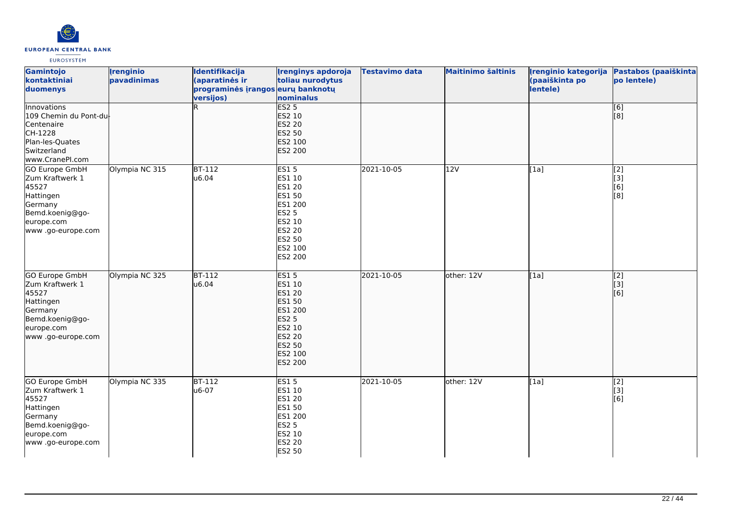

| Gamintojo<br>kontaktiniai<br>duomenys                                                                                           | <b>Irenginio</b><br>pavadinimas | Identifikacija<br>(aparatinės ir<br>programinės įrangos eurų banknotų<br>versijos) | <b>Irenginys apdoroja</b><br>toliau nurodytus<br>nominalus                                                                      | <b>Testavimo data</b> | <b>Maitinimo šaltinis</b> | Įrenginio kategorija<br>(paaiškinta po<br>lentele) | Pastabos (paaiškinta<br>po lentele) |
|---------------------------------------------------------------------------------------------------------------------------------|---------------------------------|------------------------------------------------------------------------------------|---------------------------------------------------------------------------------------------------------------------------------|-----------------------|---------------------------|----------------------------------------------------|-------------------------------------|
| Innovations<br>109 Chemin du Pont-du<br>Centenaire<br>CH-1228<br>Plan-les-Quates<br>Switzerland<br>www.CranePI.com              |                                 |                                                                                    | <b>ES2 5</b><br>ES2 10<br><b>ES2 20</b><br>ES2 50<br>ES2 100<br>ES2 200                                                         |                       |                           |                                                    | $\overline{[6]}$<br>[8]             |
| GO Europe GmbH<br>Zum Kraftwerk 1<br>45527<br>Hattingen<br>Germany<br>Bemd.koenig@go-<br>europe.com<br>www.go-europe.com        | Olympia NC 315                  | $BT-112$<br>u6.04                                                                  | <b>ES15</b><br>ES1 10<br>ES1 20<br>ES1 50<br>ES1 200<br><b>ES2 5</b><br>ES2 10<br>ES2 20<br>ES2 50<br>ES2 100<br>ES2 200        | 2021-10-05            | 12V                       | [1a]                                               | [2]<br>[3]<br>[6]<br>[8]            |
| <b>GO Europe GmbH</b><br>Zum Kraftwerk 1<br>45527<br>Hattingen<br>Germany<br>Bemd.koenig@go-<br>europe.com<br>www.go-europe.com | Olympia NC 325                  | $BT-112$<br>u6.04                                                                  | ES15<br>ES1 10<br>ES1 20<br><b>ES1 50</b><br>ES1 200<br><b>ES2 5</b><br>ES2 10<br><b>ES2 20</b><br>ES2 50<br>ES2 100<br>ES2 200 | 2021-10-05            | other: 12V                | [1a]                                               | $\overline{[2]}$<br>[3]<br>[6]      |
| <b>GO Europe GmbH</b><br>Zum Kraftwerk 1<br>45527<br>Hattingen<br>Germany<br>Bemd.koenig@go-<br>europe.com<br>www.go-europe.com | Olympia NC 335                  | <b>BT-112</b><br>u6-07                                                             | <b>ES15</b><br>ES1 10<br>ES1 20<br>ES1 50<br>ES1 200<br>ES2 5<br>ES2 10<br>ES2 20<br>ES2 50                                     | 2021-10-05            | other: 12V                | [1a]                                               | $\overline{[2]}$<br>[3]<br>[6]      |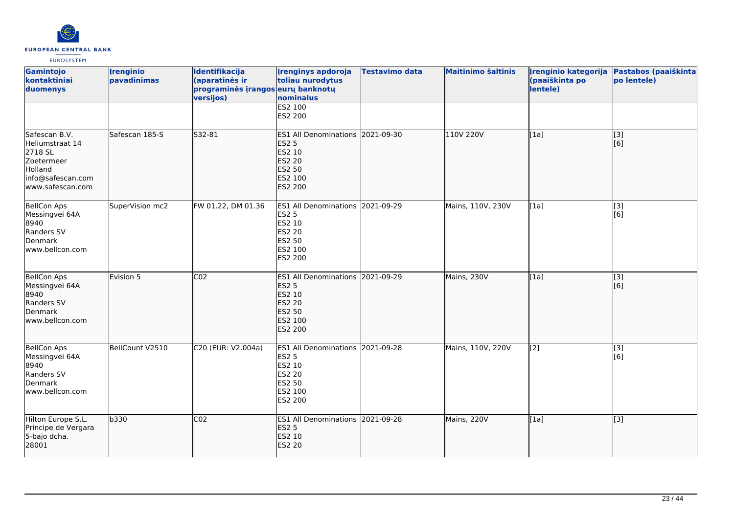

| Gamintojo<br>kontaktiniai<br>duomenys                                                                         | <b>Irenginio</b><br>pavadinimas | Identifikacija<br>(aparatinės ir<br>programinės įrangos eurų banknotų<br>versijos) | <b>Irenginys apdoroja</b><br>toliau nurodytus<br>nominalus<br><b>ES2 100</b>                                              | <b>Testavimo data</b> | <b>Maitinimo šaltinis</b> | Irenginio kategorija<br>(paaiškinta po<br>lentele) | Pastabos (paaiškinta<br>po lentele) |
|---------------------------------------------------------------------------------------------------------------|---------------------------------|------------------------------------------------------------------------------------|---------------------------------------------------------------------------------------------------------------------------|-----------------------|---------------------------|----------------------------------------------------|-------------------------------------|
| Safescan B.V.<br>Heliumstraat 14<br>2718 SL<br>Zoetermeer<br>Holland<br>info@safescan.com<br>www.safescan.com | Safescan 185-S                  | S32-81                                                                             | ES2 200<br><b>ES1 All Denominations</b><br><b>ES2 5</b><br><b>ES2 10</b><br><b>ES2 20</b><br>ES2 50<br>ES2 100<br>ES2 200 | 2021-09-30            | 110V 220V                 | [1a]                                               | $\overline{[3]}$<br>[6]             |
| <b>BellCon Aps</b><br>Messingvei 64A<br>8940<br>Randers SV<br>Denmark<br>www.bellcon.com                      | SuperVision mc2                 | FW 01.22, DM 01.36                                                                 | ES1 All Denominations 2021-09-29<br><b>ES2 5</b><br>ES2 10<br>ES2 20<br>ES2 50<br>ES2 100<br>ES2 200                      |                       | Mains, 110V, 230V         | [1a]                                               | $[3]$<br>[6]                        |
| <b>BellCon Aps</b><br>Messingvei 64A<br>8940<br>Randers SV<br>Denmark<br>www.bellcon.com                      | Evision 5                       | CO <sub>2</sub>                                                                    | <b>ES1 All Denominations</b><br><b>ES2 5</b><br>ES2 10<br><b>ES2 20</b><br><b>ES2 50</b><br>ES2 100<br>ES2 200            | 2021-09-29            | Mains, 230V               | [1a]                                               | [3]<br>[6]                          |
| <b>BellCon Aps</b><br>Messingvei 64A<br>8940<br>Randers SV<br>Denmark<br>www.bellcon.com                      | BellCount V2510                 | C20 (EUR: V2.004a)                                                                 | ES1 All Denominations 2021-09-28<br><b>ES2 5</b><br>ES2 10<br>ES2 20<br>ES2 50<br>ES2 100<br>ES2 200                      |                       | Mains, 110V, 220V         | [2]                                                | $\overline{[3]}$<br>[6]             |
| Hilton Europe S.L.<br>Principe de Vergara<br>5-bajo dcha.<br>28001                                            | b330                            | CO <sub>2</sub>                                                                    | ES1 All Denominations 2021-09-28<br><b>ES2 5</b><br>ES2 10<br><b>ES2 20</b>                                               |                       | Mains, 220V               | [1a]                                               | [3]                                 |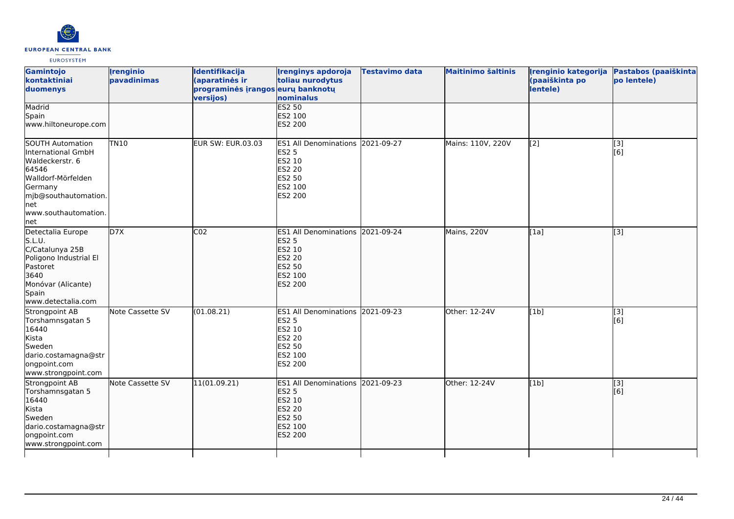

| Gamintojo<br>kontaktiniai<br>duomenys<br>Madrid                                                                                                                   | <i><u><b><u>I</u>renginio</b></u></i><br>pavadinimas | Identifikacija<br>(aparatinės ir<br>programinės įrangos eurų banknotų<br>versijos) | <b>Irenginys apdoroja</b><br>toliau nurodytus<br>nominalus<br><b>ES2 50</b>                                        | <b>Testavimo data</b> | <b>Maitinimo šaltinis</b> | Irenginio kategorija<br>(paaiškinta po<br>lentele) | Pastabos (paaiškinta<br>po lentele) |
|-------------------------------------------------------------------------------------------------------------------------------------------------------------------|------------------------------------------------------|------------------------------------------------------------------------------------|--------------------------------------------------------------------------------------------------------------------|-----------------------|---------------------------|----------------------------------------------------|-------------------------------------|
| Spain<br>www.hiltoneurope.com                                                                                                                                     |                                                      |                                                                                    | ES2 100<br>ES2 200                                                                                                 |                       |                           |                                                    |                                     |
| SOUTH Automation<br>International GmbH<br>Waldeckerstr. 6<br>64546<br>Walldorf-Mörfelden<br>Germany<br>mjb@southautomation.<br>net<br>www.southautomation.<br>net | <b>TN10</b>                                          | <b>EUR SW: EUR.03.03</b>                                                           | ES1 All Denominations 2021-09-27<br><b>ES2 5</b><br>ES2 10<br>ES2 20<br>ES2 50<br>ES2 100<br>ES2 200               |                       | Mains: 110V, 220V         | [2]                                                | [3]<br>[6]                          |
| Detectalia Europe<br>S.L.U.<br>C/Catalunya 25B<br>Poligono Industrial El<br>Pastoret<br>3640<br>Monóvar (Alicante)<br>Spain<br>www.detectalia.com                 | D7X                                                  | CO <sub>2</sub>                                                                    | ES1 All Denominations 2021-09-24<br><b>ES2 5</b><br>ES2 10<br><b>ES2 20</b><br><b>ES2 50</b><br>ES2 100<br>ES2 200 |                       | Mains, 220V               | [1a]                                               | [3]                                 |
| Strongpoint AB<br>Torshamnsgatan 5<br>16440<br>Kista<br>Sweden<br>dario.costamagna@str<br>ongpoint.com<br>www.strongpoint.com                                     | Note Cassette SV                                     | (01.08.21)                                                                         | ES1 All Denominations 2021-09-23<br><b>ES2 5</b><br>ES2 10<br>ES2 20<br><b>ES2 50</b><br>ES2 100<br>ES2 200        |                       | Other: 12-24V             | [1b]                                               | $\overline{[3]}$<br>[6]             |
| Strongpoint AB<br>Torshamnsgatan 5<br>16440<br>Kista<br>Sweden<br>dario.costamagna@str<br>ongpoint.com<br>www.strongpoint.com                                     | Note Cassette SV                                     | 11(01.09.21)                                                                       | <b>ES1 All Denominations</b><br><b>ES2 5</b><br>ES2 10<br><b>ES2 20</b><br><b>ES2 50</b><br>ES2 100<br>ES2 200     | 2021-09-23            | Other: 12-24V             | [1b]                                               | [3]<br>[6]                          |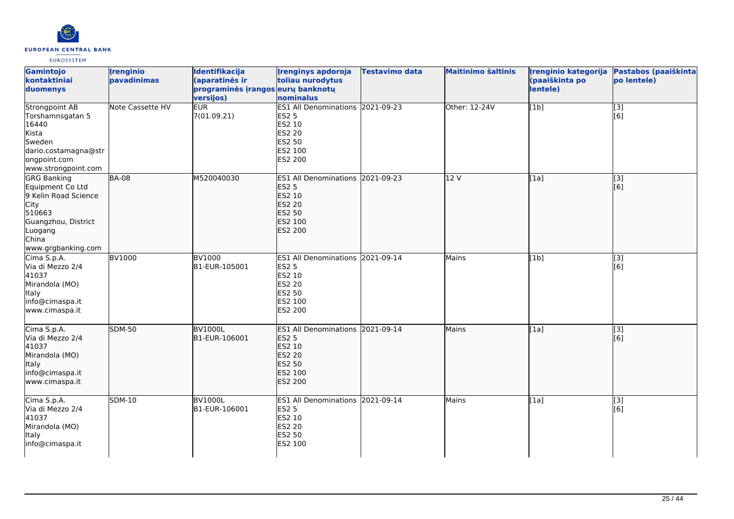

| Gamintojo<br>kontaktiniai<br>duomenys                                                                                                                    | <b>Irenginio</b><br>pavadinimas | Identifikacija<br>(aparatinės ir<br>programinės įrangos eurų banknotų<br>versijos) | <b>Irenginys apdoroja</b><br>toliau nurodytus<br>nominalus                                                         | <b>Testavimo data</b> | <b>Maitinimo šaltinis</b> | Įrenginio kategorija<br>(paaiškinta po<br>lentele) | Pastabos (paaiškinta<br>po lentele) |
|----------------------------------------------------------------------------------------------------------------------------------------------------------|---------------------------------|------------------------------------------------------------------------------------|--------------------------------------------------------------------------------------------------------------------|-----------------------|---------------------------|----------------------------------------------------|-------------------------------------|
| <b>Strongpoint AB</b><br>Torshamnsgatan 5<br>16440<br>Kista<br>Sweden<br>dario.costamagna@str<br>ongpoint.com<br>www.strongpoint.com                     | Note Cassette HV                | <b>EUR</b><br>7(01.09.21)                                                          | ES1 All Denominations 2021-09-23<br><b>ES2 5</b><br>ES2 10<br><b>ES2 20</b><br><b>ES2 50</b><br>ES2 100<br>ES2 200 |                       | Other: 12-24V             | [1b]                                               | $\overline{[3]}$<br>[6]             |
| <b>GRG Banking</b><br>Equipment Co Ltd<br>9 Kelin Road Science<br><b>City</b><br>510663<br>Guangzhou, District<br>Luogang<br>China<br>www.grgbanking.com | <b>BA-08</b>                    | M520040030                                                                         | ES1 All Denominations 2021-09-23<br><b>ES2 5</b><br>ES2 10<br><b>ES2 20</b><br>ES2 50<br>ES2 100<br><b>ES2 200</b> |                       | 12V                       | [1a]                                               | [3]<br>[6]                          |
| Cima S.p.A.<br>Via di Mezzo 2/4<br>41037<br>Mirandola (MO)<br>Italy<br>info@cimaspa.it<br>www.cimaspa.it                                                 | <b>BV1000</b>                   | <b>BV1000</b><br>B1-EUR-105001                                                     | ES1 All Denominations 2021-09-14<br><b>ES2 5</b><br>ES2 10<br><b>ES2 20</b><br>ES2 50<br>ES2 100<br>ES2 200        |                       | <b>Mains</b>              | [1b]                                               | $\overline{[3]}$<br>[6]             |
| Cima S.p.A.<br>Via di Mezzo 2/4<br>41037<br>Mirandola (MO)<br>Italy<br>info@cimaspa.it<br>www.cimaspa.it                                                 | <b>SDM-50</b>                   | <b>BV1000L</b><br>B1-EUR-106001                                                    | ES1 All Denominations 2021-09-14<br><b>ES2 5</b><br>ES2 10<br><b>ES2 20</b><br><b>ES2 50</b><br>ES2 100<br>ES2 200 |                       | Mains                     | [1a]                                               | [3]<br>[6]                          |
| Cima S.p.A.<br>Via di Mezzo 2/4<br>41037<br>Mirandola (MO)<br>Italy<br>info@cimaspa.it                                                                   | <b>SDM-10</b>                   | <b>BV1000L</b><br>B1-EUR-106001                                                    | ES1 All Denominations 2021-09-14<br><b>ES2 5</b><br>ES2 10<br><b>ES2 20</b><br><b>ES2 50</b><br>ES2 100            |                       | Mains                     | $\overline{[1a]}$                                  | $[3]$<br>[6]                        |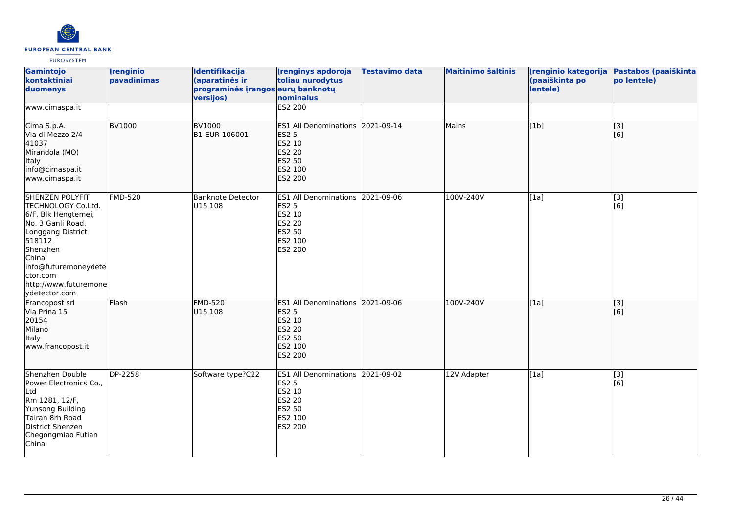

| Gamintojo<br>kontaktiniai<br>duomenys                                                                                                                                                                                      | <i><u><b><u>I</u>renginio</b></u></i><br>pavadinimas | <b>Identifikacija</b><br>(aparatinės ir<br>programinės įrangos eurų banknotų<br>versijos) | <b>Irenginys apdoroja</b><br>toliau nurodytus<br>nominalus                                                                | <b>Testavimo data</b> | <b>Maitinimo šaltinis</b> | Irenginio kategorija<br>(paaiškinta po<br>lentele) | Pastabos (paaiškinta<br>po lentele) |
|----------------------------------------------------------------------------------------------------------------------------------------------------------------------------------------------------------------------------|------------------------------------------------------|-------------------------------------------------------------------------------------------|---------------------------------------------------------------------------------------------------------------------------|-----------------------|---------------------------|----------------------------------------------------|-------------------------------------|
| www.cimaspa.it                                                                                                                                                                                                             |                                                      |                                                                                           | ES2 200                                                                                                                   |                       |                           |                                                    |                                     |
| Cima S.p.A.<br>Via di Mezzo 2/4<br>41037<br>Mirandola (MO)<br><b>Italy</b><br>info@cimaspa.it<br>www.cimaspa.it                                                                                                            | <b>BV1000</b>                                        | <b>BV1000</b><br>B1-EUR-106001                                                            | ES1 All Denominations 2021-09-14<br><b>ES2 5</b><br>ES2 10<br><b>ES2 20</b><br><b>ES2 50</b><br>ES2 100<br><b>ES2 200</b> |                       | Mains                     | [1b]                                               | $\overline{[3]}$<br>[6]             |
| <b>SHENZEN POLYFIT</b><br>TECHNOLOGY Co.Ltd.<br>6/F, Blk Hengtemei,<br>No. 3 Ganli Road,<br>Longgang District<br>518112<br>Shenzhen<br>China<br>info@futuremoneydete<br>ctor.com<br>http://www.futuremone<br>ydetector.com | <b>FMD-520</b>                                       | <b>Banknote Detector</b><br>U15 108                                                       | ES1 All Denominations 2021-09-06<br><b>ES2 5</b><br>ES2 10<br><b>ES2 20</b><br><b>ES2 50</b><br>ES2 100<br>ES2 200        |                       | 100V-240V                 | [1a]                                               | $\overline{[3]}$<br>[6]             |
| Francopost srl<br>Via Prina 15<br>20154<br>Milano<br>Italy<br>www.francopost.it                                                                                                                                            | Flash                                                | <b>FMD-520</b><br>U15 108                                                                 | ES1 All Denominations 2021-09-06<br><b>ES2 5</b><br>ES2 10<br><b>ES2 20</b><br><b>ES2 50</b><br>ES2 100<br>ES2 200        |                       | 100V-240V                 | [[1a]                                              | $\overline{[}$ [3]<br>[6]           |
| Shenzhen Double<br>Power Electronics Co.,<br>Ltd<br>Rm 1281, 12/F,<br>Yunsong Building<br>Tairan 8rh Road<br>District Shenzen<br>Chegongmiao Futian<br>China                                                               | DP-2258                                              | Software type?C22                                                                         | ES1 All Denominations 2021-09-02<br><b>ES2 5</b><br>ES2 10<br><b>ES2 20</b><br><b>ES2 50</b><br>ES2 100<br>ES2 200        |                       | 12V Adapter               | [1a]                                               | $\overline{[3]}$<br>[6]             |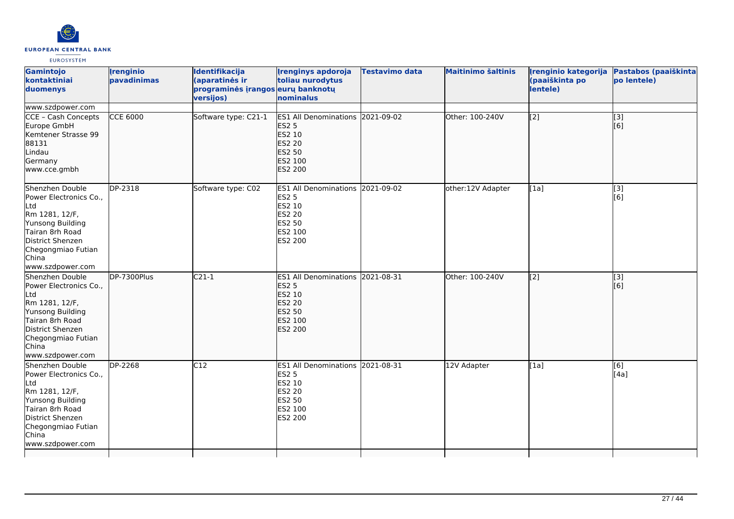

| Gamintojo<br>kontaktiniai<br>duomenys                                                                                                                                            | <i><u><b><u>I</u>renginio</b></u></i><br>pavadinimas | <b>Identifikacija</b><br>(aparatinės ir<br>programinės įrangos eurų banknotų<br>versijos) | <b>Irenginys apdoroja</b><br>toliau nurodytus<br>nominalus                                                                | Testavimo data | <b>Maitinimo šaltinis</b> | Irenginio kategorija<br>(paaiškinta po<br>lentele) | Pastabos (paaiškinta<br>po lentele) |
|----------------------------------------------------------------------------------------------------------------------------------------------------------------------------------|------------------------------------------------------|-------------------------------------------------------------------------------------------|---------------------------------------------------------------------------------------------------------------------------|----------------|---------------------------|----------------------------------------------------|-------------------------------------|
| www.szdpower.com                                                                                                                                                                 |                                                      |                                                                                           |                                                                                                                           |                |                           |                                                    |                                     |
| CCE - Cash Concepts<br>Europe GmbH<br>Kemtener Strasse 99<br>88131<br>Lindau<br>Germany<br>www.cce.gmbh                                                                          | <b>CCE 6000</b>                                      | Software type: C21-1                                                                      | ES1 All Denominations 2021-09-02<br><b>ES2 5</b><br>ES2 10<br><b>ES2 20</b><br><b>ES2 50</b><br>ES2 100<br><b>ES2 200</b> |                | Other: 100-240V           | $\left[2\right]$                                   | $\overline{[}$ [3]<br>[6]           |
| Shenzhen Double<br>Power Electronics Co.,<br>Ltd<br>Rm 1281, 12/F,<br>Yunsong Building<br>Tairan 8rh Road<br>District Shenzen<br>Chegongmiao Futian<br>China<br>www.szdpower.com | DP-2318                                              | Software type: C02                                                                        | ES1 All Denominations 2021-09-02<br><b>ES2 5</b><br>ES2 10<br><b>ES2 20</b><br>ES2 50<br>ES2 100<br>ES2 200               |                | other:12V Adapter         | [1a]                                               | $\overline{[}3]$<br>[6]             |
| Shenzhen Double<br>Power Electronics Co.,<br>Ltd<br>Rm 1281, 12/F,<br>Yunsong Building<br>Tairan 8rh Road<br>District Shenzen<br>Chegongmiao Futian<br>China<br>www.szdpower.com | $\overline{DP}$ -7300Plus                            | $C21-1$                                                                                   | <b>ES1 All Denominations</b><br><b>ES2 5</b><br>ES2 10<br><b>ES2 20</b><br><b>ES2 50</b><br>ES2 100<br>ES2 200            | 2021-08-31     | Other: 100-240V           | $\overline{[2]}$                                   | $\overline{[}$ [3]<br>[[6]          |
| Shenzhen Double<br>Power Electronics Co.,<br>Ltd<br>Rm 1281, 12/F,<br>Yunsong Building<br>Tairan 8rh Road<br>District Shenzen<br>Chegongmiao Futian<br>China<br>www.szdpower.com | DP-2268                                              | C12                                                                                       | ES1 All Denominations 2021-08-31<br><b>ES2 5</b><br>ES2 10<br><b>ES2 20</b><br>ES2 50<br>ES2 100<br>ES2 200               |                | 12V Adapter               | [1a]                                               | [6]<br>[4a]                         |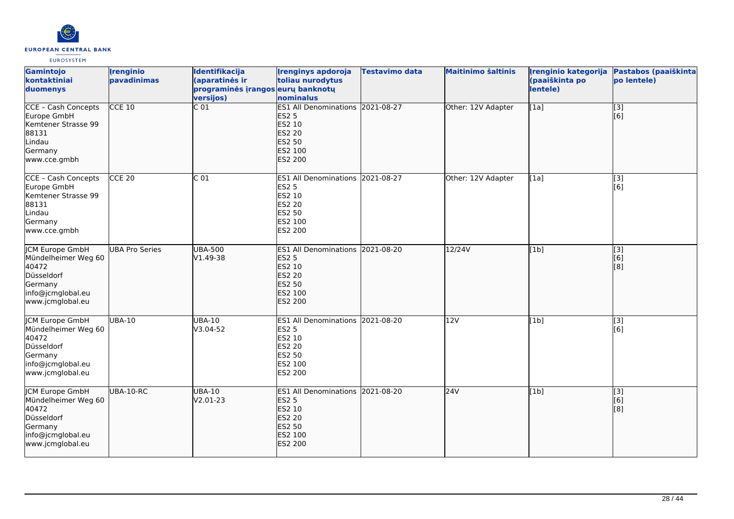

| Gamintojo<br>kontaktiniai<br>duomenys                                                                                    | <i><u><b><u>I</u>renginio</b></u></i><br>pavadinimas | Identifikacija<br>(aparatinės ir<br>programinės įrangos eurų banknotų<br>versijos) | <b>Irenginys apdoroja</b><br>toliau nurodytus<br>nominalus                                                                       | <b>Testavimo data</b> | <b>Maitinimo šaltinis</b> | Irenginio kategorija<br>(paaiškinta po<br>lentele) | Pastabos (paaiškinta<br>po lentele) |
|--------------------------------------------------------------------------------------------------------------------------|------------------------------------------------------|------------------------------------------------------------------------------------|----------------------------------------------------------------------------------------------------------------------------------|-----------------------|---------------------------|----------------------------------------------------|-------------------------------------|
| CCE - Cash Concepts<br>Europe GmbH<br>Kemtener Strasse 99<br>88131<br>Lindau<br>Germany<br>www.cce.gmbh                  | $CCE$ 10                                             | C <sub>01</sub>                                                                    | ES1 All Denominations 2021-08-27<br><b>ES2 5</b><br><b>ES2 10</b><br><b>ES2 20</b><br><b>ES2 50</b><br>ES2 100<br><b>ES2 200</b> |                       | Other: 12V Adapter        | [1a]                                               | $\overline{[}$ [3]<br>[6]           |
| CCE - Cash Concepts<br>Europe GmbH<br>Kemtener Strasse 99<br>88131<br>Lindau<br>Germany<br>www.cce.gmbh                  | CCE <sub>20</sub>                                    | C <sub>01</sub>                                                                    | ES1 All Denominations 2021-08-27<br><b>ES2 5</b><br><b>ES2 10</b><br><b>ES2 20</b><br><b>ES2 50</b><br>ES2 100<br>ES2 200        |                       | Other: 12V Adapter        | [1a]                                               | [3]<br>[6]                          |
| <b>JCM Europe GmbH</b><br>Mündelheimer Weg 60<br>40472<br>Düsseldorf<br>Germany<br>info@jcmglobal.eu<br>www.jcmglobal.eu | <b>UBA Pro Series</b>                                | <b>UBA-500</b><br>V1.49-38                                                         | <b>ES1 All Denominations</b><br><b>ES2 5</b><br>ES2 10<br><b>ES2 20</b><br><b>ES2 50</b><br>ES2 100<br><b>ES2 200</b>            | 2021-08-20            | 12/24V                    | [1b]                                               | $\overline{[}3]$<br>[6]<br>[8]      |
| <b>JCM Europe GmbH</b><br>Mündelheimer Weg 60<br>40472<br>Düsseldorf<br>Germany<br>info@jcmglobal.eu<br>www.jcmglobal.eu | <b>UBA-10</b>                                        | <b>UBA-10</b><br>V3.04-52                                                          | ES1 All Denominations 2021-08-20<br><b>ES2 5</b><br><b>ES2 10</b><br><b>ES2 20</b><br><b>ES2 50</b><br>ES2 100<br>ES2 200        |                       | 12V                       | [1b]                                               | [3]<br>[6]                          |
| JCM Europe GmbH<br>Mündelheimer Weg 60<br>40472<br>Düsseldorf<br>Germany<br>info@jcmglobal.eu<br>www.jcmglobal.eu        | UBA-10-RC                                            | <b>UBA-10</b><br>V2.01-23                                                          | <b>ES1 All Denominations</b><br><b>ES2 5</b><br><b>ES2 10</b><br><b>ES2 20</b><br><b>ES2 50</b><br>ES2 100<br><b>ES2 200</b>     | 2021-08-20            | 24V                       | [1b]                                               | [3]<br>[6]<br>[8]                   |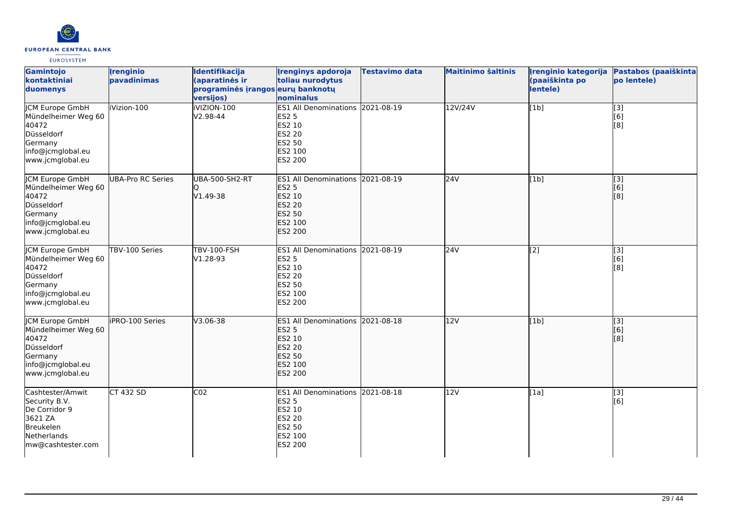

| Gamintojo<br>kontaktiniai<br>duomenys                                                                                    | <b>Irenginio</b><br>pavadinimas | Identifikacija<br>(aparatinės ir<br>programinės įrangos eurų banknotų<br>versijos) | <b>Irenginys apdoroja</b><br>toliau nurodytus<br>nominalus                                                  | <b>Testavimo data</b> | <b>Maitinimo šaltinis</b> | Įrenginio kategorija<br>(paaiškinta po<br>lentele) | Pastabos (paaiškinta<br>po lentele) |
|--------------------------------------------------------------------------------------------------------------------------|---------------------------------|------------------------------------------------------------------------------------|-------------------------------------------------------------------------------------------------------------|-----------------------|---------------------------|----------------------------------------------------|-------------------------------------|
| <b>JCM Europe GmbH</b><br>Mündelheimer Weg 60<br>40472<br>Düsseldorf<br>Germany<br>info@jcmglobal.eu<br>www.jcmglobal.eu | iVizion-100                     | iVIZION-100<br>V2.98-44                                                            | ES1 All Denominations 2021-08-19<br><b>ES2 5</b><br>ES2 10<br>ES2 20<br>ES2 50<br>ES2 100<br>ES2 200        |                       | 12V/24V                   | [1b]                                               | $\overline{[3]}$<br>[6]<br>[8]      |
| JCM Europe GmbH<br>Mündelheimer Weg 60<br>40472<br>Düsseldorf<br>Germany<br>info@jcmglobal.eu<br>www.jcmglobal.eu        | UBA-Pro RC Series               | UBA-500-SH2-RT<br>IQ<br>V1.49-38                                                   | ES1 All Denominations 2021-08-19<br><b>ES2 5</b><br>ES2 10<br><b>ES2 20</b><br>ES2 50<br>ES2 100<br>ES2 200 |                       | 24V                       | [1b]                                               | [[3]<br>[6]<br>[8]                  |
| <b>CM Europe GmbH</b><br>Mündelheimer Weg 60<br>40472<br>Düsseldorf<br>Germany<br>info@jcmglobal.eu<br>www.jcmglobal.eu  | TBV-100 Series                  | TBV-100-FSH<br>V1.28-93                                                            | ES1 All Denominations 2021-08-19<br>ES2 5<br>ES2 10<br><b>ES2 20</b><br>ES2 50<br>ES2 100<br>ES2 200        |                       | 24V                       | $\overline{[2]}$                                   | $\overline{[3]}$<br>[6]<br>[8]      |
| <b>JCM Europe GmbH</b><br>Mündelheimer Weg 60<br>40472<br>Düsseldorf<br>Germany<br>info@jcmglobal.eu<br>www.jcmglobal.eu | iPRO-100 Series                 | $V3.06 - 38$                                                                       | ES1 All Denominations 2021-08-18<br><b>ES2 5</b><br>ES2 10<br><b>ES2 20</b><br>ES2 50<br>ES2 100<br>ES2 200 |                       | 12V                       | [1b]                                               | $\overline{[}$ [3]<br>[6]<br>[8]    |
| Cashtester/Amwit<br>Security B.V.<br>De Corridor 9<br>3621 ZA<br>Breukelen<br>Netherlands<br>mw@cashtester.com           | CT 432 SD                       | CO <sub>2</sub>                                                                    | ES1 All Denominations 2021-08-18<br><b>ES2 5</b><br>ES2 10<br><b>ES2 20</b><br>ES2 50<br>ES2 100<br>ES2 200 |                       | 12V                       | [1a]                                               | [3]<br>[6]                          |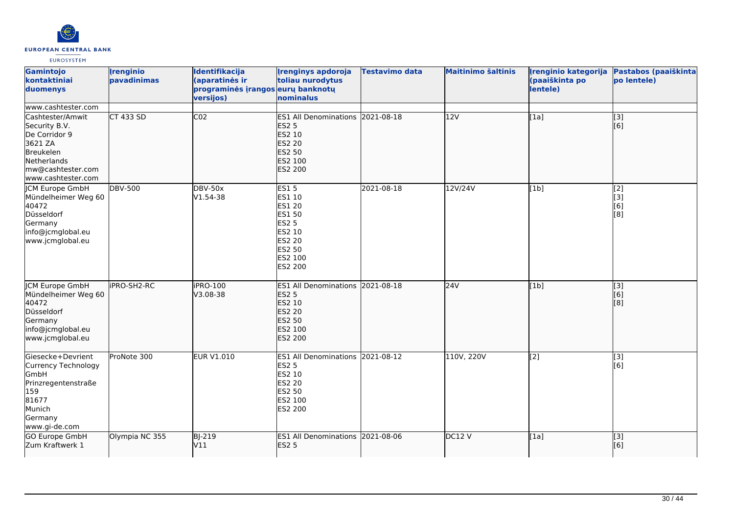

| Gamintojo<br>kontaktiniai<br>duomenys                                                                                                | <b>Irenginio</b><br>pavadinimas | Identifikacija<br>(aparatinės ir<br>programinės įrangos eurų banknotų<br>versijos) | <b>Irenginys apdoroja</b><br>toliau nurodytus<br>nominalus                                                                         | <b>Testavimo data</b> | <b>Maitinimo šaltinis</b> | Irenginio kategorija<br>(paaiškinta po<br>lentele) | Pastabos (paaiškinta<br>po lentele) |
|--------------------------------------------------------------------------------------------------------------------------------------|---------------------------------|------------------------------------------------------------------------------------|------------------------------------------------------------------------------------------------------------------------------------|-----------------------|---------------------------|----------------------------------------------------|-------------------------------------|
| www.cashtester.com                                                                                                                   |                                 |                                                                                    |                                                                                                                                    |                       |                           |                                                    |                                     |
| Cashtester/Amwit<br>Security B.V.<br>De Corridor 9<br>3621 ZA<br>Breukelen<br>Netherlands<br>mw@cashtester.com<br>www.cashtester.com | $CT$ 433 SD                     | CO <sub>2</sub>                                                                    | ES1 All Denominations 2021-08-18<br><b>ES2 5</b><br>ES2 10<br><b>ES2 20</b><br><b>ES2 50</b><br>ES2 100<br>ES2 200                 |                       | 12V                       | [1a]                                               | $\overline{[3]}$<br>[6]             |
| <b>ICM Europe GmbH</b><br>Mündelheimer Weg 60<br>40472<br>Düsseldorf<br>Germany<br>info@jcmglobal.eu<br>www.jcmglobal.eu             | <b>DBV-500</b>                  | <b>DBV-50x</b><br>V1.54-38                                                         | <b>ES15</b><br>ES1 10<br>ES1 20<br><b>ES1 50</b><br><b>ES2 5</b><br>ES2 10<br><b>ES2 20</b><br><b>ES2 50</b><br>ES2 100<br>ES2 200 | 2021-08-18            | 12V/24V                   | [1b]                                               | [2]<br>[3]<br>[6]<br>[8]            |
| <b>JCM Europe GmbH</b><br>Mündelheimer Weg 60<br>40472<br>Düsseldorf<br>Germany<br>info@jcmglobal.eu<br>www.jcmglobal.eu             | <b>IPRO-SH2-RC</b>              | iPRO-100<br>V3.08-38                                                               | <b>ES1 All Denominations</b><br><b>ES2 5</b><br>ES2 10<br><b>ES2 20</b><br>ES2 50<br>ES2 100<br>ES2 200                            | 2021-08-18            | 24V                       | [1b]                                               | $\overline{[}3]$<br>[6]<br>[8]      |
| Giesecke+Devrient<br>Currency Technology<br>GmbH<br>Prinzregentenstraße<br>159<br>81677<br>Munich<br>Germany<br>www.gi-de.com        | ProNote 300                     | <b>EUR V1.010</b>                                                                  | ES1 All Denominations 2021-08-12<br><b>ES2 5</b><br>ES2 10<br>ES2 20<br><b>ES2 50</b><br>ES2 100<br>ES2 200                        |                       | 110V, 220V                | [2]                                                | $[3]$<br>[6]                        |
| GO Europe GmbH<br>Zum Kraftwerk 1                                                                                                    | Olympia NC 355                  | <b>BJ-219</b><br>V11                                                               | <b>ES1 All Denominations</b><br><b>ES2 5</b>                                                                                       | 2021-08-06            | DC12V                     | [1a]                                               | $\overline{[}3]$<br>[6]             |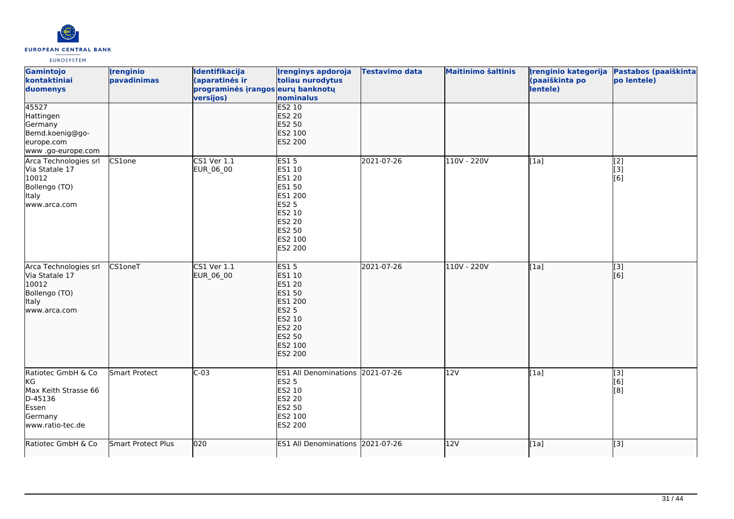

| Gamintojo<br>kontaktiniai<br>duomenys                                                               | <b>Irenginio</b><br>pavadinimas | Identifikacija<br>(aparatinės ir<br>programinės įrangos eurų banknotų<br>versijos) | <b>Irenginys apdoroja</b><br>toliau nurodytus<br>nominalus                                                                                    | <b>Testavimo data</b> | <b>Maitinimo šaltinis</b> | Irenginio kategorija<br>(paaiškinta po<br>lentele) | Pastabos (paaiškinta<br>po lentele)                |
|-----------------------------------------------------------------------------------------------------|---------------------------------|------------------------------------------------------------------------------------|-----------------------------------------------------------------------------------------------------------------------------------------------|-----------------------|---------------------------|----------------------------------------------------|----------------------------------------------------|
| 45527<br>Hattingen<br>Germany<br>Bemd.koenig@go-<br>europe.com<br>www .go-europe.com                |                                 |                                                                                    | <b>ES2 10</b><br><b>ES2 20</b><br><b>ES2 50</b><br>ES2 100<br>ES2 200                                                                         |                       |                           |                                                    |                                                    |
| Arca Technologies srl<br>Via Statale 17<br>10012<br>Bollengo (TO)<br>Italy<br>www.arca.com          | CS1one                          | CS1 Ver 1.1<br><b>EUR 06 00</b>                                                    | <b>ES15</b><br>ES1 10<br>ES1 20<br>ES1 50<br>ES1 200<br><b>ES2 5</b><br>ES2 10<br>ES2 20<br>ES2 50<br>ES2 100<br>ES2 200                      | 2021-07-26            | 110V - 220V               | [1a]                                               | $\overline{[2]}$<br>[3]<br>[6]                     |
| Arca Technologies srl<br>Via Statale 17<br>10012<br>Bollengo (TO)<br>Italy<br>www.arca.com          | CS1oneT                         | $CS1$ Ver $1.1$<br>EUR_06_00                                                       | <b>ES15</b><br><b>ES1 10</b><br><b>ES1 20</b><br>ES1 50<br>ES1 200<br><b>ES2 5</b><br>ES2 10<br><b>ES2 20</b><br>ES2 50<br>ES2 100<br>ES2 200 | 2021-07-26            | 110V - 220V               | [1a]                                               | [3]<br>[6]                                         |
| Ratiotec GmbH & Co<br>KG<br>Max Keith Strasse 66<br>D-45136<br>Essen<br>Germany<br>www.ratio-tec.de | Smart Protect                   | $C-03$                                                                             | ES1 All Denominations 2021-07-26<br><b>ES2 5</b><br>ES2 10<br>ES2 20<br>ES2 50<br>ES2 100<br>ES2 200                                          |                       | 12V                       | [1a]                                               | $\overline{[3]}$<br>[6]<br>[8]                     |
| Ratiotec GmbH & Co                                                                                  | Smart Protect Plus              | 020                                                                                | <b>ES1 All Denominations</b>                                                                                                                  | 2021-07-26            | 12V                       | [1a]                                               | $\left[ \begin{matrix} 1 & 3 \end{matrix} \right]$ |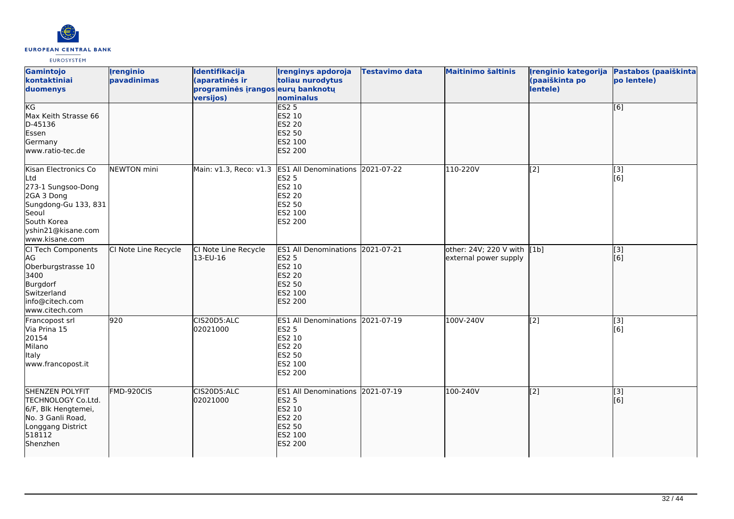

| Gamintojo<br>kontaktiniai<br>duomenys                                                                                                                   | <i><u><b><u>I</u>renginio</b></u></i><br>pavadinimas | Identifikacija<br>(aparatinės ir<br>programinės įrangos eurų banknotų<br>versijos) | <b>Irenginys apdoroja</b><br>toliau nurodytus<br>nominalus                                                                | <b>Testavimo data</b> | <b>Maitinimo šaltinis</b>                            | Irenginio kategorija<br>(paaiškinta po<br>lentele) | Pastabos (paaiškinta<br>po lentele) |
|---------------------------------------------------------------------------------------------------------------------------------------------------------|------------------------------------------------------|------------------------------------------------------------------------------------|---------------------------------------------------------------------------------------------------------------------------|-----------------------|------------------------------------------------------|----------------------------------------------------|-------------------------------------|
| KG<br>Max Keith Strasse 66<br>D-45136<br>Essen<br>Germany<br>www.ratio-tec.de                                                                           |                                                      |                                                                                    | <b>ES2 5</b><br><b>ES2 10</b><br><b>ES2 20</b><br><b>ES2 50</b><br>ES2 100<br><b>ES2 200</b>                              |                       |                                                      |                                                    | $\overline{[6]}$                    |
| Kisan Electronics Co<br>Ltd<br>273-1 Sungsoo-Dong<br>2GA 3 Dong<br>Sungdong-Gu 133, 831<br>Seoul<br>South Korea<br>yshin21@kisane.com<br>www.kisane.com | <b>NEWTON</b> mini                                   | Main: v1.3, Reco: v1.3                                                             | ES1 All Denominations 2021-07-22<br><b>ES2 5</b><br>ES2 10<br><b>ES2 20</b><br><b>ES2 50</b><br>ES2 100<br><b>ES2 200</b> |                       | 110-220V                                             | [2]                                                | $\overline{[3]}$<br>[6]             |
| CI Tech Components<br>AG<br>Oberburgstrasse 10<br>3400<br>Burgdorf<br>Switzerland<br>info@citech.com<br>www.citech.com                                  | CI Note Line Recycle                                 | CI Note Line Recycle<br>13-EU-16                                                   | ES1 All Denominations 2021-07-21<br><b>ES2 5</b><br>ES2 10<br><b>ES2 20</b><br><b>ES2 50</b><br>ES2 100<br><b>ES2 200</b> |                       | other: 24V; 220 V with [1b]<br>external power supply |                                                    | $\overline{[}3]$<br>[[6]            |
| Francopost srl<br>Via Prina 15<br>20154<br>Milano<br>ltaly<br>www.francopost.it                                                                         | 920                                                  | CIS20D5:ALC<br>02021000                                                            | ES1 All Denominations 2021-07-19<br><b>ES2 5</b><br>ES2 10<br><b>ES2 20</b><br><b>ES2 50</b><br>ES2 100<br>ES2 200        |                       | 100V-240V                                            | $\sqrt{2}$                                         | [3]<br>[6]                          |
| <b>SHENZEN POLYFIT</b><br>TECHNOLOGY Co.Ltd.<br>6/F, Blk Hengtemei,<br>No. 3 Ganli Road,<br>Longgang District<br>518112<br>Shenzhen                     | FMD-920CIS                                           | CIS20D5:ALC<br>02021000                                                            | ES1 All Denominations 2021-07-19<br><b>ES2 5</b><br>ES2 10<br><b>ES2 20</b><br><b>ES2 50</b><br>ES2 100<br>ES2 200        |                       | 100-240V                                             | $\overline{[2]}$                                   | [[3]<br>[[6]                        |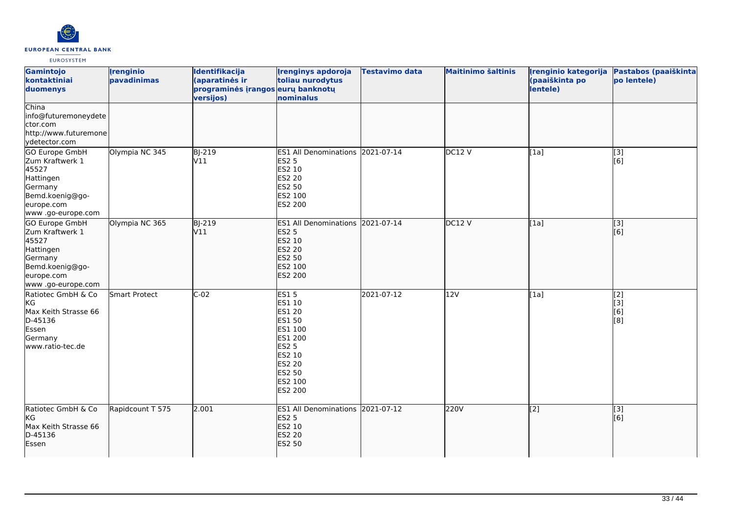

| Gamintojo<br>kontaktiniai<br>duomenys                                                                                    | <i><u><b><u>I</u>renginio</b></u></i><br>pavadinimas | Identifikacija<br>(aparatinės ir<br>programinės įrangos eurų banknotų<br>versijos) | <b>Irenginys apdoroja</b><br>toliau nurodytus<br>nominalus                                                                                                      | Testavimo data | <b>Maitinimo šaltinis</b> | (paaiškinta po<br>lentele) | Įrenginio kategorija Pastabos (paaiškinta<br>po lentele) |
|--------------------------------------------------------------------------------------------------------------------------|------------------------------------------------------|------------------------------------------------------------------------------------|-----------------------------------------------------------------------------------------------------------------------------------------------------------------|----------------|---------------------------|----------------------------|----------------------------------------------------------|
| China<br>info@futuremoneydete<br>ctor.com<br>http://www.futuremone<br>ydetector.com                                      |                                                      |                                                                                    |                                                                                                                                                                 |                |                           |                            |                                                          |
| GO Europe GmbH<br>Zum Kraftwerk 1<br>45527<br>Hattingen<br>Germany<br>Bemd.koenig@go-<br>europe.com<br>www.go-europe.com | Olympia NC 345                                       | BJ-219<br>V11                                                                      | ES1 All Denominations 2021-07-14<br><b>ES2 5</b><br>ES2 10<br><b>ES2 20</b><br><b>ES2 50</b><br>ES2 100<br>ES2 200                                              |                | DC12V                     | [1a]                       | [3]<br>[6]                                               |
| GO Europe GmbH<br>Zum Kraftwerk 1<br>45527<br>Hattingen<br>Germany<br>Bemd.koenig@go-<br>europe.com<br>www.go-europe.com | Olympia NC 365                                       | $BJ-219$<br>V11                                                                    | ES1 All Denominations 2021-07-14<br><b>ES2 5</b><br>ES2 10<br><b>ES2 20</b><br><b>ES2 50</b><br>ES2 100<br>ES2 200                                              |                | DC12V                     | [1a]                       | $\overline{[}3]$<br>[6]                                  |
| Ratiotec GmbH & Co<br>KG<br>Max Keith Strasse 66<br>D-45136<br>Essen<br>Germany<br>www.ratio-tec.de                      | Smart Protect                                        | $C-02$                                                                             | <b>ES15</b><br>ES1 10<br><b>ES1 20</b><br><b>ES1 50</b><br>ES1 100<br>ES1 200<br><b>ES2 5</b><br>ES2 10<br><b>ES2 20</b><br><b>ES2 50</b><br>ES2 100<br>ES2 200 | 2021-07-12     | 12V                       | [1a]                       | [2]<br>[3]<br>[6]<br>[8]                                 |
| Ratiotec GmbH & Co<br>KG<br>Max Keith Strasse 66<br>D-45136<br>Essen                                                     | Rapidcount T 575                                     | 2.001                                                                              | ES1 All Denominations 2021-07-12<br><b>ES2 5</b><br>ES2 10<br><b>ES2 20</b><br><b>ES2 50</b>                                                                    |                | 220V                      | $\vert$ [2]                | [3]<br>[[6]                                              |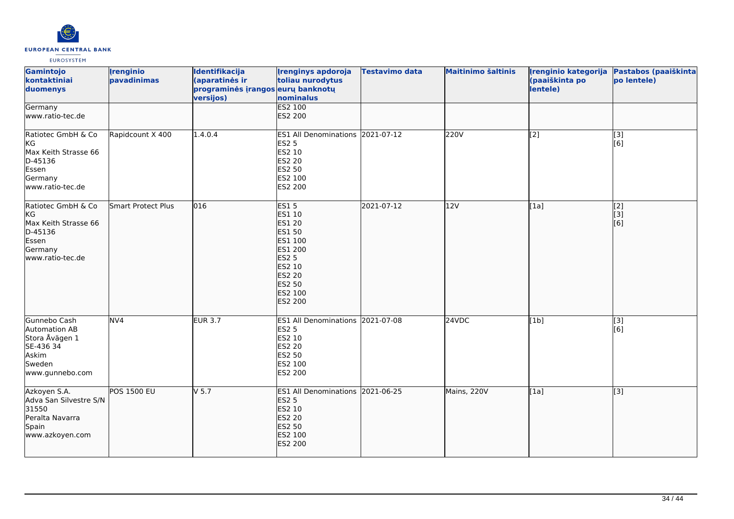

| Gamintojo<br>kontaktiniai<br>duomenys                                                                | <b>Irenginio</b><br>pavadinimas | Identifikacija<br>(aparatinės ir<br>programinės įrangos eurų banknotų<br>versijos) | <b>Irenginys apdoroja</b><br>toliau nurodytus<br>nominalus                                                                                               | <b>Testavimo data</b> | <b>Maitinimo šaltinis</b> | Irenginio kategorija<br>(paaiškinta po<br>lentele) | Pastabos (paaiškinta<br>po lentele) |
|------------------------------------------------------------------------------------------------------|---------------------------------|------------------------------------------------------------------------------------|----------------------------------------------------------------------------------------------------------------------------------------------------------|-----------------------|---------------------------|----------------------------------------------------|-------------------------------------|
| Germany<br>www.ratio-tec.de                                                                          |                                 |                                                                                    | <b>ES2 100</b><br>ES2 200                                                                                                                                |                       |                           |                                                    |                                     |
| Ratiotec GmbH & Co<br>KG<br>Max Keith Strasse 66<br>D-45136<br>Essen<br>Germany<br>www.ratio-tec.de  | Rapidcount X 400                | 1.4.0.4                                                                            | ES1 All Denominations 2021-07-12<br><b>ES2 5</b><br>ES2 10<br>ES2 20<br>ES2 50<br>ES2 100<br>ES2 200                                                     |                       | 220V                      | $\overline{[2]}$                                   | $\overline{[3]}$<br>[6]             |
| Ratiotec GmbH & Co<br>kg<br>Max Keith Strasse 66<br>D-45136<br>Essen<br>Germany<br>lwww.ratio-tec.de | Smart Protect Plus              | 016                                                                                | <b>ES15</b><br>ES1 10<br><b>ES1 20</b><br>ES1 50<br>ES1 100<br>ES1 200<br><b>ES2 5</b><br>ES2 10<br><b>ES2 20</b><br><b>ES2 50</b><br>ES2 100<br>ES2 200 | 2021-07-12            | 12V                       | [1a]                                               | [2]<br>[3]<br>[6]                   |
| Gunnebo Cash<br>Automation AB<br>Stora Åvägen 1<br>SE-436 34<br>Askim<br>Sweden<br>www.gunnebo.com   | NV <sub>4</sub>                 | <b>EUR 3.7</b>                                                                     | ES1 All Denominations 2021-07-08<br><b>ES2 5</b><br>ES2 10<br>ES2 20<br>ES2 50<br>ES2 100<br>ES2 200                                                     |                       | 24VDC                     | [1b]                                               | $[3]$<br>[6]                        |
| Azkoyen S.A.<br>Adva San Silvestre S/N<br>31550<br>Peralta Navarra<br>Spain<br>www.azkoyen.com       | <b>POS 1500 EU</b>              | V <sub>5.7</sub>                                                                   | ES1 All Denominations 2021-06-25<br><b>ES2 5</b><br>ES2 10<br><b>ES2 20</b><br><b>ES2 50</b><br>ES2 100<br>ES2 200                                       |                       | Mains, 220V               | [1a]                                               | $\overline{[}3]$                    |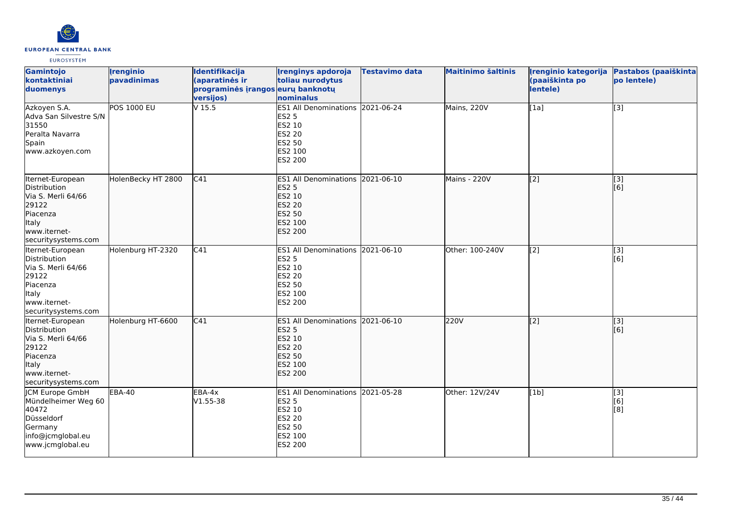

| Gamintojo<br>kontaktiniai<br>duomenys                                                                                       | <b>Irenginio</b><br>pavadinimas | Identifikacija<br>(aparatinės ir<br>programinės įrangos eurų banknotų<br>versijos) | <b>Irenginys apdoroja</b><br>toliau nurodytus<br>nominalus                                                         | <b>Testavimo data</b> | <b>Maitinimo šaltinis</b> | Irenginio kategorija<br>(paaiškinta po<br>lentele) | Pastabos (paaiškinta<br>po lentele) |
|-----------------------------------------------------------------------------------------------------------------------------|---------------------------------|------------------------------------------------------------------------------------|--------------------------------------------------------------------------------------------------------------------|-----------------------|---------------------------|----------------------------------------------------|-------------------------------------|
| Azkoyen S.A.<br>Adva San Silvestre S/N<br>31550<br>Peralta Navarra<br>Spain<br>www.azkoyen.com                              | <b>POS 1000 EU</b>              | $V$ 15.5                                                                           | ES1 All Denominations 2021-06-24<br><b>ES2 5</b><br>ES2 10<br>ES2 20<br>ES2 50<br>ES2 100<br>ES2 200               |                       | Mains, 220V               | $\sqrt{1a}$                                        | $\overline{[}3]$                    |
| Iternet-European<br>Distribution<br>Via S. Merli 64/66<br>29122<br>Piacenza<br>Italy<br>www.iternet-<br>securitysystems.com | HolenBecky HT 2800              | C41                                                                                | ES1 All Denominations 2021-06-10<br><b>ES2 5</b><br>ES2 10<br><b>ES2 20</b><br><b>ES2 50</b><br>ES2 100<br>ES2 200 |                       | Mains - 220V              | $\overline{[2]}$                                   | $\overline{[}$ [3]<br>[6]           |
| Iternet-European<br>Distribution<br>Via S. Merli 64/66<br>29122<br>Piacenza<br>Italy<br>www.iternet-<br>securitysystems.com | Holenburg HT-2320               | C41                                                                                | ES1 All Denominations 2021-06-10<br><b>ES2 5</b><br>ES2 10<br>ES2 20<br>ES2 50<br>ES2 100<br>ES2 200               |                       | Other: 100-240V           | $\overline{[2]}$                                   | $\overline{[3]}$<br>[6]             |
| Iternet-European<br>Distribution<br>Via S. Merli 64/66<br>29122<br>Piacenza<br>Italy<br>www.iternet-<br>securitysystems.com | Holenburg HT-6600               | C41                                                                                | ES1 All Denominations 2021-06-10<br><b>ES2 5</b><br>ES2 10<br><b>ES2 20</b><br>ES2 50<br>ES2 100<br>ES2 200        |                       | 220V                      | $\overline{[2]}$                                   | $\overline{[}3]$<br>[6]             |
| <b>CM Europe GmbH</b><br>Mündelheimer Weg 60<br>40472<br>Düsseldorf<br>Germany<br>info@jcmglobal.eu<br>www.jcmglobal.eu     | <b>EBA-40</b>                   | EBA-4x<br>V1.55-38                                                                 | ES1 All Denominations 2021-05-28<br><b>ES2 5</b><br>ES2 10<br>ES2 20<br>ES2 50<br>ES2 100<br>ES2 200               |                       | Other: 12V/24V            | [1b]                                               | $\overline{[3]}$<br>[6]<br>[8]      |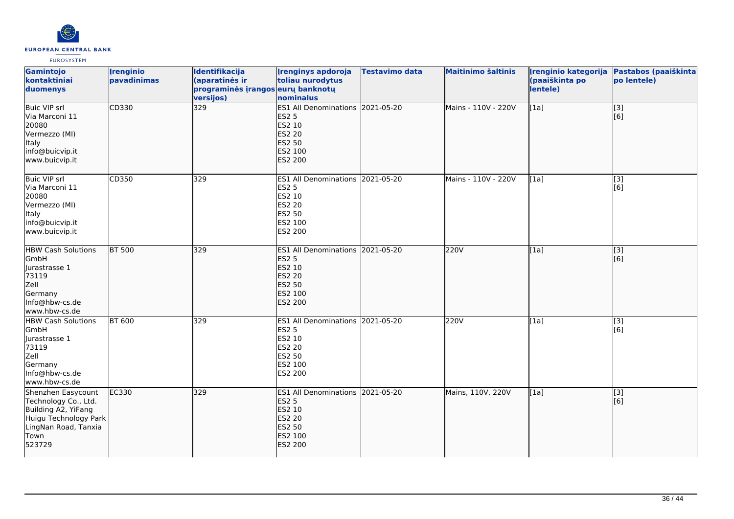

| Gamintojo<br>kontaktiniai<br>duomenys                                                                                                | <b>Irenginio</b><br>pavadinimas | Identifikacija<br>(aparatinės ir<br>programinės įrangos eurų banknotų<br>versijos) | <b>Irenginys apdoroja</b><br>toliau nurodytus<br>nominalus                                                                | <b>Testavimo data</b> | <b>Maitinimo šaltinis</b> | Irenginio kategorija<br>(paaiškinta po<br>lentele) | Pastabos (paaiškinta<br>po lentele) |
|--------------------------------------------------------------------------------------------------------------------------------------|---------------------------------|------------------------------------------------------------------------------------|---------------------------------------------------------------------------------------------------------------------------|-----------------------|---------------------------|----------------------------------------------------|-------------------------------------|
| <b>Buic VIP srl</b><br>Via Marconi 11<br>20080<br>Vermezzo (MI)<br><b>Italy</b><br>info@buicvip.it<br>www.buicvip.it                 | CD330                           | 329                                                                                | ES1 All Denominations 2021-05-20<br><b>ES2 5</b><br>ES2 10<br><b>ES2 20</b><br><b>ES2 50</b><br>ES2 100<br>ES2 200        |                       | Mains - 110V - 220V       | [1a]                                               | [3]<br>[6]                          |
| Buic VIP srl<br>Via Marconi 11<br>20080<br>Vermezzo (MI)<br>Italy<br>info@buicvip.it<br>www.buicvip.it                               | CD350                           | 329                                                                                | ES1 All Denominations 2021-05-20<br><b>ES2 5</b><br>ES2 10<br><b>ES2 20</b><br><b>ES2 50</b><br>ES2 100<br>ES2 200        |                       | Mains - 110V - 220V       | [1a]                                               | [3]<br>[6]                          |
| <b>HBW Cash Solutions</b><br>GmbH<br>Jurastrasse 1<br>73119<br>Zell<br>Germany<br>Info@hbw-cs.de<br>www.hbw-cs.de                    | <b>BT 500</b>                   | 329                                                                                | ES1 All Denominations 2021-05-20<br><b>ES2 5</b><br>ES2 10<br><b>ES2 20</b><br><b>ES2 50</b><br>ES2 100<br><b>ES2 200</b> |                       | 220V                      | [1a]                                               | [[3]<br>lī 61                       |
| <b>HBW Cash Solutions</b><br>GmbH<br>Jurastrasse 1<br>73119<br>Zell<br>Germany<br>Info@hbw-cs.de<br>www.hbw-cs.de                    | <b>BT 600</b>                   | 329                                                                                | ES1 All Denominations 2021-05-20<br><b>ES2 5</b><br>ES2 10<br><b>ES2 20</b><br><b>ES2 50</b><br>ES2 100<br>ES2 200        |                       | 220V                      | [1a]                                               | [3]<br>[6]                          |
| Shenzhen Easycount<br>Technology Co., Ltd.<br>Building A2, YiFang<br>Huigu Technology Park<br>LingNan Road, Tanxia<br>Town<br>523729 | EC330                           | 329                                                                                | ES1 All Denominations 2021-05-20<br><b>ES2 5</b><br>ES2 10<br><b>ES2 20</b><br><b>ES2 50</b><br>ES2 100<br><b>ES2 200</b> |                       | Mains, 110V, 220V         | [1a]                                               | [3]<br>[6]                          |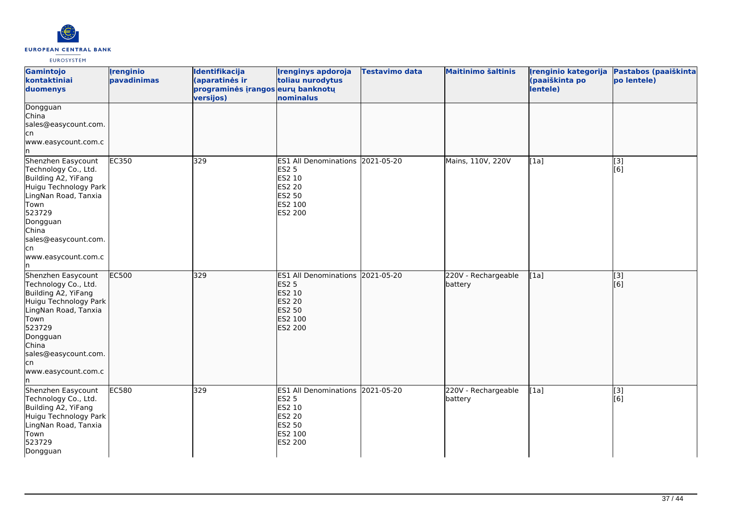

| Gamintojo<br>kontaktiniai<br>duomenys                                                                                                                                                                                  | <i><u><b><u>I</u>renginio</b></u></i><br>pavadinimas | Identifikacija<br>(aparatinės ir<br>programinės įrangos eurų banknotų<br>versijos) | <b>Irenginys apdoroja</b><br>toliau nurodytus<br>nominalus                                                                       | <b>Testavimo data</b> | <b>Maitinimo šaltinis</b>      | Įrenginio kategorija<br>(paaiškinta po<br>lentele) | Pastabos (paaiškinta<br>po lentele) |
|------------------------------------------------------------------------------------------------------------------------------------------------------------------------------------------------------------------------|------------------------------------------------------|------------------------------------------------------------------------------------|----------------------------------------------------------------------------------------------------------------------------------|-----------------------|--------------------------------|----------------------------------------------------|-------------------------------------|
| Dongguan<br>China<br>sales@easycount.com.<br>cn <br>www.easycount.com.c<br>In.                                                                                                                                         |                                                      |                                                                                    |                                                                                                                                  |                       |                                |                                                    |                                     |
| Shenzhen Easycount<br>Technology Co., Ltd.<br>Building A2, YiFang<br>Huigu Technology Park<br>LingNan Road, Tanxia<br>Town<br>523729<br>Dongguan<br>China<br>sales@easycount.com.<br>cn<br>www.easycount.com.c<br>In.  | EC350                                                | 329                                                                                | ES1 All Denominations 2021-05-20<br><b>ES2 5</b><br>ES2 10<br><b>ES2 20</b><br><b>ES2 50</b><br>ES2 100<br>ES2 200               |                       | Mains, 110V, 220V              | [1a]                                               | $\overline{[3]}$<br>[6]             |
| Shenzhen Easycount<br>Technology Co., Ltd.<br>Building A2, YiFang<br>Huigu Technology Park<br>LingNan Road, Tanxia<br>Town<br>523729<br>Dongguan<br>China<br>sales@easycount.com.<br>lcn<br>www.easycount.com.c<br>In. | <b>EC500</b>                                         | 329                                                                                | ES1 All Denominations 2021-05-20<br><b>ES2 5</b><br>ES2 10<br><b>ES2 20</b><br><b>ES2 50</b><br>ES2 100<br><b>ES2 200</b>        |                       | 220V - Rechargeable<br>battery | [1a]                                               | [3]<br>[6]                          |
| Shenzhen Easycount<br>Technology Co., Ltd.<br>Building A2, YiFang<br>Huigu Technology Park<br>LingNan Road, Tanxia<br>Town<br>523729<br>Dongguan                                                                       | <b>EC580</b>                                         | 329                                                                                | ES1 All Denominations 2021-05-20<br><b>ES2 5</b><br><b>ES2 10</b><br><b>ES2 20</b><br><b>ES2 50</b><br>ES2 100<br><b>ES2 200</b> |                       | 220V - Rechargeable<br>battery | [1a]                                               | [3]<br>[6]                          |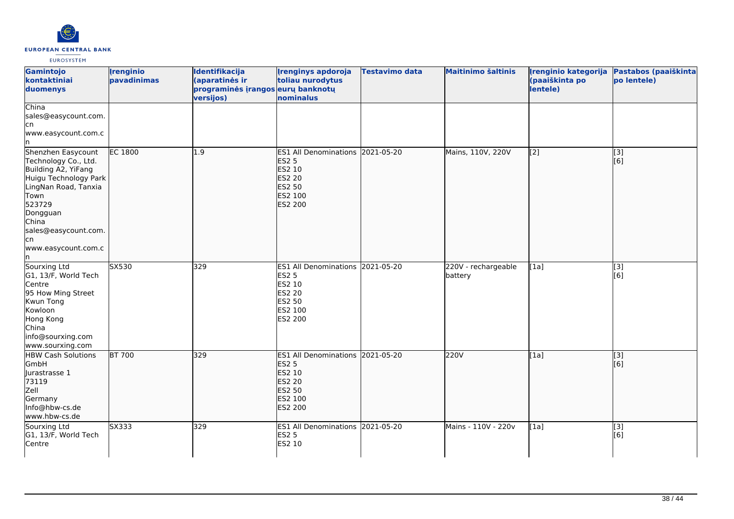

| Gamintojo<br>kontaktiniai<br>duomenys                                                                                                                                                                           | <b>Irenginio</b><br>pavadinimas | Identifikacija<br>(aparatinės ir<br>programinės įrangos eurų banknotų<br>versijos) | <b>Irenginys apdoroja</b><br>toliau nurodytus<br>nominalus                                                  | <b>Testavimo data</b> | <b>Maitinimo šaltinis</b>      | Irenginio kategorija<br>(paaiškinta po<br>lentele) | Pastabos (paaiškinta<br>po lentele) |
|-----------------------------------------------------------------------------------------------------------------------------------------------------------------------------------------------------------------|---------------------------------|------------------------------------------------------------------------------------|-------------------------------------------------------------------------------------------------------------|-----------------------|--------------------------------|----------------------------------------------------|-------------------------------------|
| China<br>sales@easycount.com.<br>cn<br>www.easycount.com.c                                                                                                                                                      |                                 |                                                                                    |                                                                                                             |                       |                                |                                                    |                                     |
| Shenzhen Easycount<br>Technology Co., Ltd.<br>Building A2, YiFang<br>Huigu Technology Park<br>LingNan Road, Tanxia<br>Town<br>523729<br>Dongguan<br>China<br>sales@easycount.com.<br>lcn<br>www.easycount.com.c | EC 1800                         | 1.9                                                                                | ES1 All Denominations 2021-05-20<br><b>ES2 5</b><br>ES2 10<br><b>ES2 20</b><br>ES2 50<br>ES2 100<br>ES2 200 |                       | Mains, 110V, 220V              | $\left[ \begin{matrix} 2 \end{matrix} \right]$     | [3]<br>[6]                          |
| Sourxing Ltd<br>G1, 13/F, World Tech<br>Centre<br>95 How Ming Street<br>Kwun Tong<br>Kowloon<br>Hong Kong<br>China<br>info@sourxing.com<br>www.sourxing.com                                                     | SX530                           | 329                                                                                | ES1 All Denominations 2021-05-20<br>ES2 5<br>ES2 10<br>ES2 20<br>ES2 50<br>ES2 100<br>ES2 200               |                       | 220V - rechargeable<br>battery | [1a]                                               | [3]<br>[6]                          |
| <b>HBW Cash Solutions</b><br>GmbH<br>Jurastrasse 1<br>73119<br>Zell<br>Germany<br>Info@hbw-cs.de<br>www.hbw-cs.de                                                                                               | <b>BT 700</b>                   | 329                                                                                | ES1 All Denominations 2021-05-20<br><b>ES2 5</b><br>ES2 10<br><b>ES2 20</b><br>ES2 50<br>ES2 100<br>ES2 200 |                       | 220V                           | [1a]                                               | $\overline{[3]}$<br>[6]             |
| Sourxing Ltd<br>G1, 13/F, World Tech<br>Centre                                                                                                                                                                  | SX333                           | 329                                                                                | ES1 All Denominations 2021-05-20<br><b>ES2 5</b><br>ES2 10                                                  |                       | Mains - 110V - 220v            | [1a]                                               | $\overline{[3]}$<br>[6]             |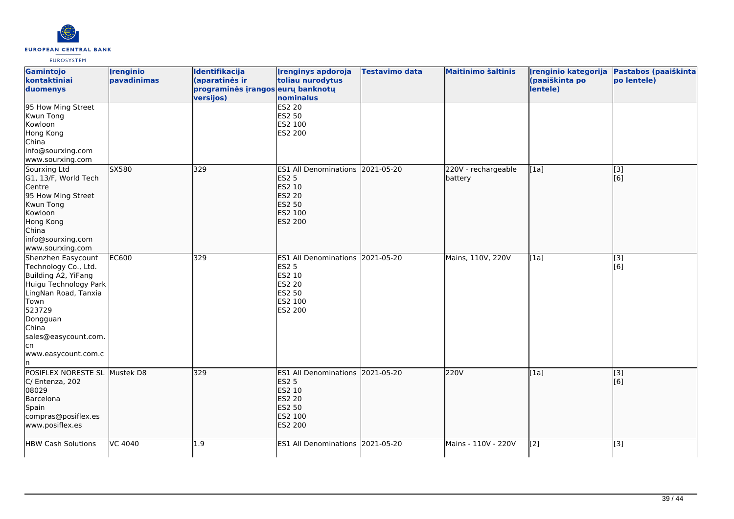

| Gamintojo<br>kontaktiniai<br>duomenys                                                                                                                                                                           | <b>Irenginio</b><br>pavadinimas | Identifikacija<br>(aparatinės ir<br>programinės įrangos eurų banknotų<br>versijos) | <b>Irenginys apdoroja</b><br>toliau nurodytus<br>nominalus                                                         | <b>Testavimo data</b> | <b>Maitinimo šaltinis</b>      | Irenginio kategorija<br>(paaiškinta po<br>lentele) | Pastabos (paaiškinta<br>po lentele) |
|-----------------------------------------------------------------------------------------------------------------------------------------------------------------------------------------------------------------|---------------------------------|------------------------------------------------------------------------------------|--------------------------------------------------------------------------------------------------------------------|-----------------------|--------------------------------|----------------------------------------------------|-------------------------------------|
| 95 How Ming Street<br>Kwun Tong<br>Kowloon<br>Hong Kong<br>China<br>info@sourxing.com<br>www.sourxing.com                                                                                                       |                                 |                                                                                    | <b>ES2 20</b><br>ES2 50<br>ES2 100<br>ES2 200                                                                      |                       |                                |                                                    |                                     |
| Sourxing Ltd<br>G1, 13/F, World Tech<br>Centre<br>95 How Ming Street<br>Kwun Tong<br>Kowloon<br>Hong Kong<br>China<br>info@sourxing.com<br>www.sourxing.com                                                     | SX580                           | 329                                                                                | ES1 All Denominations 2021-05-20<br><b>ES2 5</b><br>ES2 10<br><b>ES2 20</b><br><b>ES2 50</b><br>ES2 100<br>ES2 200 |                       | 220V - rechargeable<br>battery | [1a]                                               | $\overline{[}$ [3]<br>[6]           |
| Shenzhen Easycount<br>Technology Co., Ltd.<br>Building A2, YiFang<br>Huigu Technology Park<br>LingNan Road, Tanxia<br>Town<br>523729<br>Dongguan<br>China<br>sales@easycount.com.<br>lcn<br>www.easycount.com.c | <b>EC600</b>                    | 329                                                                                | ES1 All Denominations 2021-05-20<br>ES2 5<br>ES2 10<br><b>ES2 20</b><br>ES2 50<br>ES2 100<br>ES2 200               |                       | Mains, 110V, 220V              | [1a]                                               | [3]<br>[6]                          |
| POSIFLEX NORESTE SL Mustek D8<br>C/ Entenza, 202<br>08029<br>Barcelona<br>Spain<br>compras@posiflex.es<br>www.posiflex.es                                                                                       |                                 | 329                                                                                | ES1 All Denominations 2021-05-20<br><b>ES2 5</b><br>ES2 10<br><b>ES2 20</b><br><b>ES2 50</b><br>ES2 100<br>ES2 200 |                       | 220V                           | [1a]                                               | $\overline{[}$ [3]<br>[6]           |
| <b>HBW Cash Solutions</b>                                                                                                                                                                                       | VC 4040                         | 1.9                                                                                | ES1 All Denominations 2021-05-20                                                                                   |                       | Mains - 110V - 220V            | [2]                                                | [3]                                 |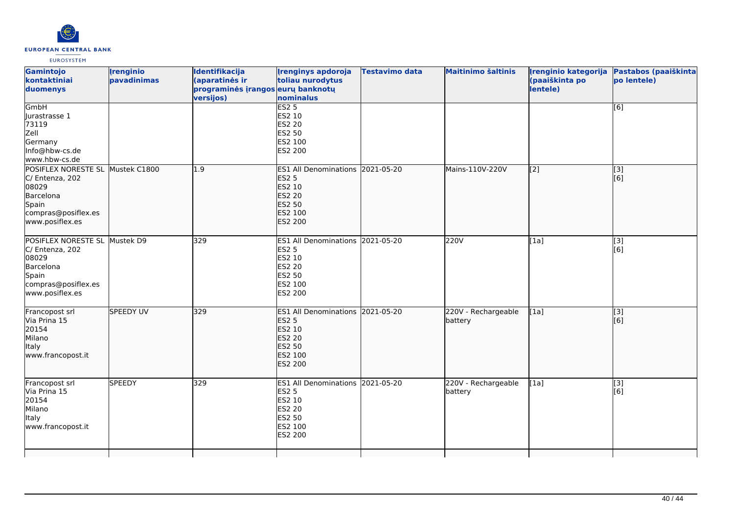

| Gamintojo<br>kontaktiniai<br>duomenys                                                                                        | <i><u><b><u>I</u>renginio</b></u></i><br>pavadinimas | <b>Identifikacija</b><br>(aparatinės ir<br>programinės įrangos eurų banknotų<br>versijos) | <b>Irenginys apdoroja</b><br>toliau nurodytus<br>nominalus                                                                   | Testavimo data | <b>Maitinimo šaltinis</b>      | (paaiškinta po<br>lentele) | Irenginio kategorija Pastabos (paaiškinta<br>po lentele) |
|------------------------------------------------------------------------------------------------------------------------------|------------------------------------------------------|-------------------------------------------------------------------------------------------|------------------------------------------------------------------------------------------------------------------------------|----------------|--------------------------------|----------------------------|----------------------------------------------------------|
| GmbH<br>Jurastrasse 1<br>73119<br>Zell<br>Germany<br>Info@hbw-cs.de<br>www.hbw-cs.de                                         |                                                      |                                                                                           | ES2 <sub>5</sub><br>ES2 10<br>ES2 20<br>ES2 50<br>ES2 100<br>ES2 200                                                         |                |                                |                            | [6]                                                      |
| POSIFLEX NORESTE SL Mustek C1800<br>C/ Entenza, 202<br>08029<br>Barcelona<br>Spain<br>compras@posiflex.es<br>www.posiflex.es |                                                      | 1.9                                                                                       | ES1 All Denominations 2021-05-20<br><b>ES2 5</b><br>ES2 10<br><b>ES2 20</b><br><b>ES2 50</b><br>ES2 100<br><b>ES2 200</b>    |                | Mains-110V-220V                | [2]                        | [3]<br>[6]                                               |
| POSIFLEX NORESTE SL Mustek D9<br>C/ Entenza, 202<br>08029<br>Barcelona<br>Spain<br>compras@posiflex.es<br>www.posiflex.es    |                                                      | 329                                                                                       | ES1 All Denominations 2021-05-20<br><b>ES2 5</b><br>ES2 10<br><b>ES2 20</b><br>ES2 50<br>ES2 100<br>ES2 200                  |                | 220V                           | [1a]                       | [3]<br>[6]                                               |
| Francopost srl<br>Via Prina 15<br>20154<br>Milano<br>Italy<br>www.francopost.it                                              | <b>SPEEDY UV</b>                                     | 329                                                                                       | <b>ES1 All Denominations</b><br><b>ES2 5</b><br><b>ES2 10</b><br><b>ES2 20</b><br><b>ES2 50</b><br>ES2 100<br><b>ES2 200</b> | 2021-05-20     | 220V - Rechargeable<br>battery | [1a]                       | $\overline{[3]}$<br>[6]                                  |
| Francopost srl<br>Via Prina 15<br>20154<br>Milano<br>Italy<br>www.francopost.it                                              | <b>SPEEDY</b>                                        | 329                                                                                       | ES1 All Denominations 2021-05-20<br><b>ES2 5</b><br>ES2 10<br>ES2 20<br>ES2 50<br>ES2 100<br>ES2 200                         |                | 220V - Rechargeable<br>battery | [1a]                       | [3]<br>[6]                                               |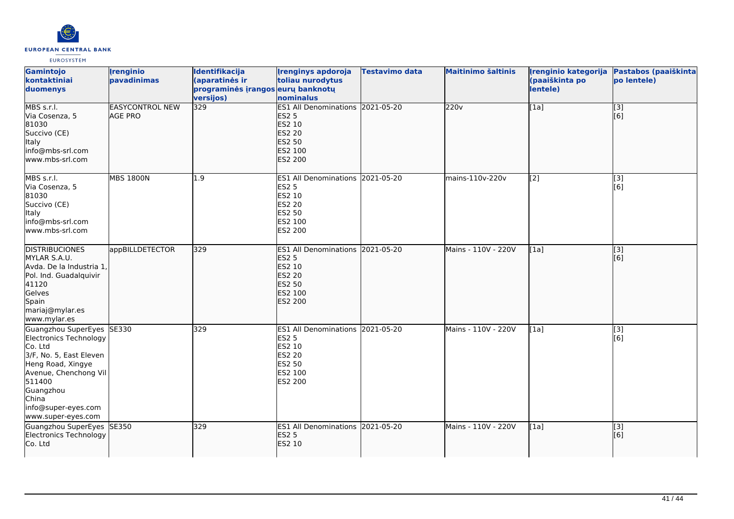

| Gamintojo<br>kontaktiniai<br>duomenys                                                                                                                                                                                 | <i><u><b><u>I</u>renginio</b></u></i><br>pavadinimas | Identifikacija<br>(aparatinės ir<br>programinės įrangos eurų banknotų<br>versijos) | <b>Irenginys apdoroja</b><br>toliau nurodytus<br>nominalus                                                         | Testavimo data | <b>Maitinimo šaltinis</b> | Irenginio kategorija<br>(paaiškinta po<br>lentele) | Pastabos (paaiškinta<br>po lentele) |
|-----------------------------------------------------------------------------------------------------------------------------------------------------------------------------------------------------------------------|------------------------------------------------------|------------------------------------------------------------------------------------|--------------------------------------------------------------------------------------------------------------------|----------------|---------------------------|----------------------------------------------------|-------------------------------------|
| MBS s.r.l.<br>Via Cosenza, 5<br>81030<br>Succivo (CE)<br><b>Italy</b><br>info@mbs-srl.com<br>lwww.mbs-srl.com                                                                                                         | <b>EASYCONTROL NEW</b><br><b>AGE PRO</b>             | 329                                                                                | ES1 All Denominations 2021-05-20<br><b>ES2 5</b><br>ES2 10<br><b>ES2 20</b><br><b>ES2 50</b><br>ES2 100<br>ES2 200 |                | 220v                      | [1a]                                               | $\overline{[3]}$<br>[6]             |
| MBS s.r.l.<br>Via Cosenza, 5<br>81030<br>Succivo (CE)<br><b>Italy</b><br>info@mbs-srl.com<br>www.mbs-srl.com                                                                                                          | <b>MBS 1800N</b>                                     | 1.9                                                                                | ES1 All Denominations 2021-05-20<br><b>ES2 5</b><br>ES2 10<br><b>ES2 20</b><br><b>ES2 50</b><br>ES2 100<br>ES2 200 |                | mains-110v-220v           | $\left[ \begin{matrix} 2 \end{matrix} \right]$     | [3]<br>[6]                          |
| <b>DISTRIBUCIONES</b><br>MYLAR S.A.U.<br>Avda. De la Industria 1,<br>Pol. Ind. Guadalquivir<br>41120<br>Gelves<br>Spain<br>mariaj@mylar.es<br>www.mylar.es                                                            | appBILLDETECTOR                                      | 329                                                                                | ES1 All Denominations 2021-05-20<br><b>ES2 5</b><br>ES2 10<br><b>ES2 20</b><br><b>ES2 50</b><br>ES2 100<br>ES2 200 |                | Mains - 110V - 220V       | [1a]                                               | $\overline{[}3]$<br>[6]             |
| Guangzhou SuperEyes<br><b>Electronics Technology</b><br>Co. Ltd<br>3/F, No. 5, East Eleven<br>Heng Road, Xingye<br>Avenue, Chenchong Vil<br>511400<br>Guangzhou<br>China<br>info@super-eyes.com<br>www.super-eyes.com | SE330                                                | 329                                                                                | ES1 All Denominations 2021-05-20<br>ES2 5<br>ES2 10<br><b>ES2 20</b><br><b>ES2 50</b><br>ES2 100<br>ES2 200        |                | Mains - 110V - 220V       | [1a]                                               | [3]<br>[6]                          |
| Guangzhou SuperEyes<br>Electronics Technology<br>Co. Ltd                                                                                                                                                              | <b>SE350</b>                                         | 329                                                                                | ES1 All Denominations 2021-05-20<br><b>ES2 5</b><br><b>ES2 10</b>                                                  |                | Mains - 110V - 220V       | [1a]                                               | [3]<br>[6]                          |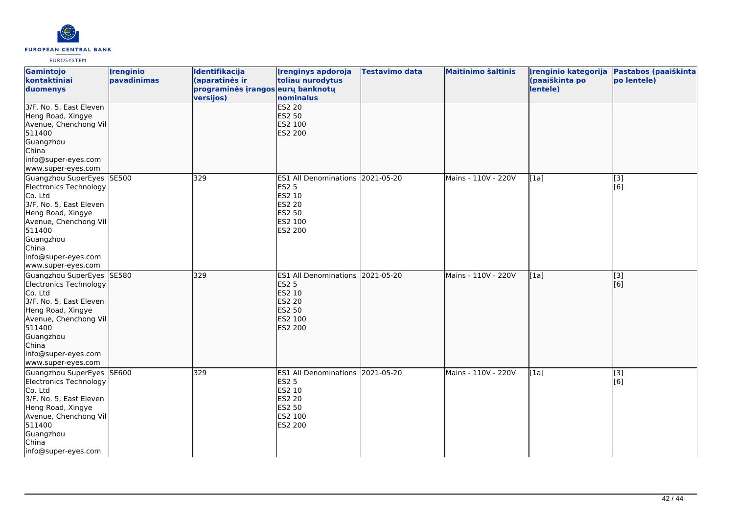

| Gamintojo<br>kontaktiniai<br>duomenys                                                                                                                                                                                 | <b>Irenginio</b><br>pavadinimas | Identifikacija<br>(aparatinės ir<br>programinės įrangos eurų banknotų<br>versijos) | <b>Irenginys apdoroja</b><br>toliau nurodytus<br>nominalus                                                         | <b>Testavimo data</b> | <b>Maitinimo šaltinis</b> | Irenginio kategorija<br>(paaiškinta po<br>lentele) | Pastabos (paaiškinta<br>po lentele) |
|-----------------------------------------------------------------------------------------------------------------------------------------------------------------------------------------------------------------------|---------------------------------|------------------------------------------------------------------------------------|--------------------------------------------------------------------------------------------------------------------|-----------------------|---------------------------|----------------------------------------------------|-------------------------------------|
| 3/F, No. 5, East Eleven<br>Heng Road, Xingye<br>Avenue, Chenchong Vil<br>511400<br>Guangzhou<br>China<br>info@super-eyes.com<br>www.super-eyes.com                                                                    |                                 |                                                                                    | <b>ES2 20</b><br><b>ES2 50</b><br>ES2 100<br>ES2 200                                                               |                       |                           |                                                    |                                     |
| Guangzhou SuperEyes<br><b>Electronics Technology</b><br>Co. Ltd<br>3/F, No. 5, East Eleven<br>Heng Road, Xingye<br>Avenue, Chenchong Vil<br>511400<br>Guangzhou<br>China<br>info@super-eyes.com<br>www.super-eyes.com | SE500                           | 329                                                                                | ES1 All Denominations 2021-05-20<br><b>ES2 5</b><br>ES2 10<br>ES2 20<br>ES2 50<br>ES2 100<br>ES2 200               |                       | Mains - 110V - 220V       | [1a]                                               | [3]<br>[6]                          |
| Guangzhou SuperEyes SE580<br>Electronics Technology<br>Co. Ltd<br>3/F, No. 5, East Eleven<br>Heng Road, Xingye<br>Avenue, Chenchong Vil<br>511400<br>Guangzhou<br>China<br>info@super-eyes.com<br>www.super-eyes.com  |                                 | 329                                                                                | ES1 All Denominations 2021-05-20<br><b>ES2 5</b><br>ES2 10<br><b>ES2 20</b><br><b>ES2 50</b><br>ES2 100<br>ES2 200 |                       | Mains - 110V - 220V       | [1a]                                               | [[3]<br>[6]                         |
| Guangzhou SuperEyes<br><b>Electronics Technology</b><br>Co. Ltd<br>3/F, No. 5, East Eleven<br>Heng Road, Xingye<br>Avenue, Chenchong Vil<br>511400<br>Guangzhou<br>China<br>info@super-eyes.com                       | SE600                           | 329                                                                                | ES1 All Denominations 2021-05-20<br><b>ES2 5</b><br>ES2 10<br>ES2 20<br>ES2 50<br>ES2 100<br>ES2 200               |                       | Mains - 110V - 220V       | [1a]                                               | [3]<br>[6]                          |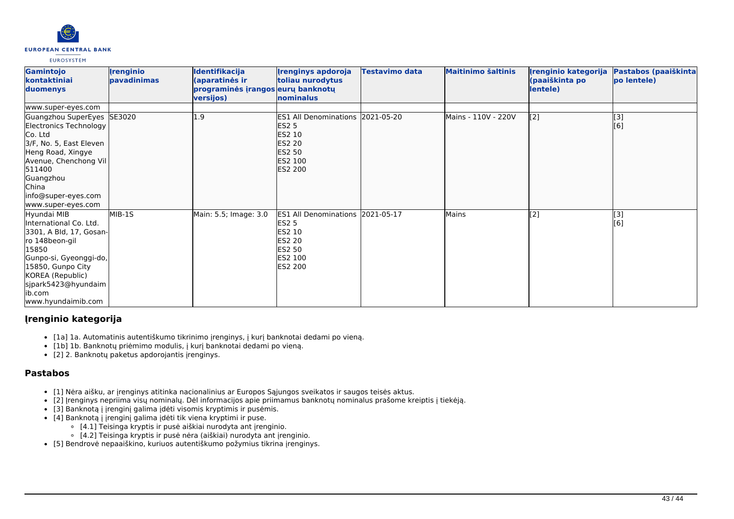

| Gamintojo<br>kontaktiniai<br>duomenys                                                                                                                                                                                  | <b>Irenginio</b><br>pavadinimas | Identifikacija<br>(aparatinės ir<br>programinės įrangos eurų banknotų<br>versijos) | <b>Irenginys apdoroja</b><br>toliau nurodytus<br>nominalus                                                         | <b>Testavimo data</b> | <b>Maitinimo šaltinis</b> | Irenginio kategorija<br>(paaiškinta po<br>lentele) | Pastabos (paaiškinta<br>po lentele) |
|------------------------------------------------------------------------------------------------------------------------------------------------------------------------------------------------------------------------|---------------------------------|------------------------------------------------------------------------------------|--------------------------------------------------------------------------------------------------------------------|-----------------------|---------------------------|----------------------------------------------------|-------------------------------------|
| www.super-eyes.com                                                                                                                                                                                                     |                                 |                                                                                    |                                                                                                                    |                       |                           |                                                    |                                     |
| Guangzhou SuperEyes SE3020<br>Electronics Technology<br>Co. Ltd<br>3/F, No. 5, East Eleven<br>Heng Road, Xingye<br>Avenue, Chenchong Vil<br>511400<br>Guangzhou<br>China<br>info@super-eyes.com<br>www.super-eyes.com  |                                 | .9                                                                                 | ES1 All Denominations 2021-05-20<br><b>ES2 5</b><br><b>ES2 10</b><br>ES2 20<br><b>ES2 50</b><br>ES2 100<br>ES2 200 |                       | Mains - 110V - 220V       | [2]                                                | [3]<br>[6]                          |
| Hyundai MIB<br>International Co. Ltd.<br>3301, A Bld, 17, Gosan-<br>ro 148beon-gil<br>15850<br>Gunpo-si, Gyeonggi-do,<br>15850, Gunpo City<br>KOREA (Republic)<br>sjpark5423@hyundaim<br>lib.com<br>www.hyundaimib.com | MIB-1S                          | Main: 5.5; Image: 3.0                                                              | <b>ES1 All Denominations</b><br><b>ES2 5</b><br>ES2 10<br><b>ES2 20</b><br><b>ES2 50</b><br>ES2 100<br>ES2 200     | 2021-05-17            | Mains                     | [2]                                                | [3]<br>[6]                          |

# **Įrenginio kategorija**

- [1a] 1a. Automatinis autentiškumo tikrinimo įrenginys, į kurį banknotai dedami po vieną.
- [1b] 1b. Banknotų priėmimo modulis, į kurį banknotai dedami po vieną.
- [2] 2. Banknotų paketus apdorojantis įrenginys.

# **Pastabos**

- [1] Nėra aišku, ar įrenginys atitinka nacionalinius ar Europos Sąjungos sveikatos ir saugos teisės aktus.
- [2] Įrenginys nepriima visų nominalų. Dėl informacijos apie priimamus banknotų nominalus prašome kreiptis į tiekėją.
- [3] Banknotą į įrenginį galima įdėti visomis kryptimis ir pusėmis.
- [4] Banknotą į įrenginį galima įdėti tik viena kryptimi ir puse.
	- [4.1] Teisinga kryptis ir pusė aiškiai nurodyta ant įrenginio.
	- [4.2] Teisinga kryptis ir pusė nėra (aiškiai) nurodyta ant įrenginio.
- [5] Bendrovė nepaaiškino, kuriuos autentiškumo požymius tikrina įrenginys.